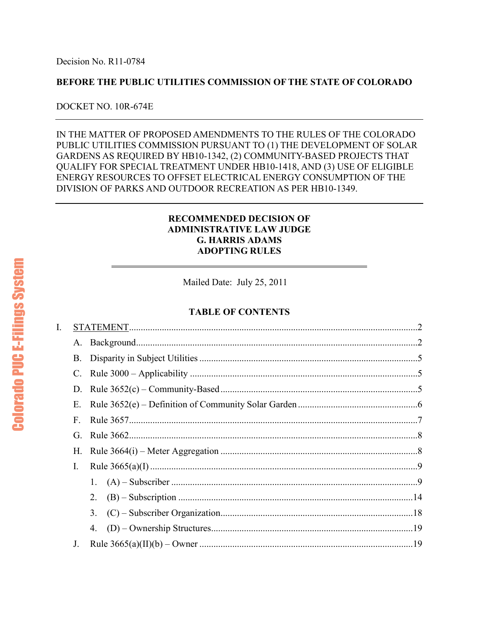# **BEFORE THE PUBLIC UTILITIES COMMISSION OF THE STATE OF COLORADO**

# DOCKET NO. 10R-674E

IN THE MATTER OF PROPOSED AMENDMENTS TO THE RULES OF THE COLORADO PUBLIC UTILITIES COMMISSION PURSUANT TO (1) THE DEVELOPMENT OF SOLAR GARDENS AS REQUIRED BY HB10-1342, (2) COMMUNITY-BASED PROJECTS THAT QUALIFY FOR SPECIAL TREATMENT UNDER HB10-1418, AND (3) USE OF ELIGIBLE ENERGY RESOURCES TO OFFSET ELECTRICAL ENERGY CONSUMPTION OF THE DIVISION OF PARKS AND OUTDOOR RECREATION AS PER HB10-1349.

# **RECOMMENDED DECISION OF ADMINISTRATIVE LAW JUDGE G. HARRIS ADAMS ADOPTING RULES**

Mailed Date: July 25, 2011

# **TABLE OF CONTENTS**

| I. |           |    |  |
|----|-----------|----|--|
|    | A.        |    |  |
|    | <b>B.</b> |    |  |
|    | C.        |    |  |
|    | D.        |    |  |
|    | Ε.        |    |  |
|    | F.        |    |  |
|    | G.        |    |  |
|    | Н.        |    |  |
|    | I.        |    |  |
|    |           |    |  |
|    |           |    |  |
|    |           | 3. |  |
|    |           | 4. |  |
|    | J.        |    |  |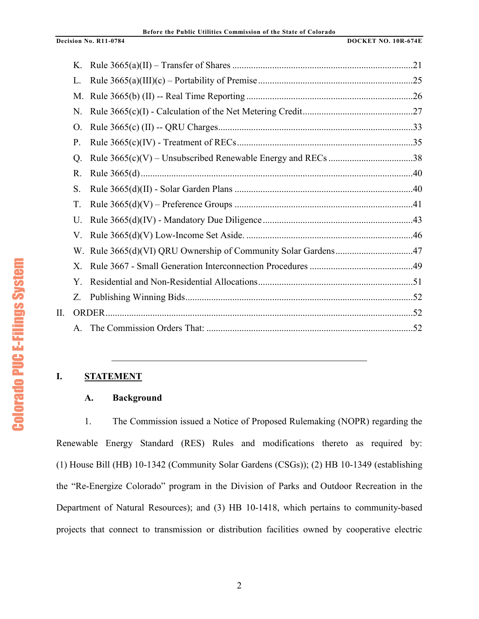|    | K.           |              |  |
|----|--------------|--------------|--|
|    | L.           |              |  |
|    | M.           |              |  |
|    | N.           |              |  |
|    | O.           |              |  |
|    | P.           |              |  |
|    | Q.           |              |  |
|    | R.           |              |  |
|    | S.           |              |  |
|    | T.           |              |  |
|    | U.           |              |  |
|    | V.           |              |  |
|    |              |              |  |
|    | Χ.           |              |  |
|    | Y.           |              |  |
|    | Z.           |              |  |
| Π. |              | <b>ORDER</b> |  |
|    | $\mathsf{A}$ |              |  |
|    |              |              |  |

#### **I. STATEMENT**

## **A. Background**

1. The Commission issued a Notice of Proposed Rulemaking (NOPR) regarding the Renewable Energy Standard (RES) Rules and modifications thereto as required by: (1) House Bill (HB) 10-1342 (Community Solar Gardens (CSGs)); (2) HB 10-1349 (establishing the "Re-Energize Colorado" program in the Division of Parks and Outdoor Recreation in the Department of Natural Resources); and (3) HB 10-1418, which pertains to community-based projects that connect to transmission or distribution facilities owned by cooperative electric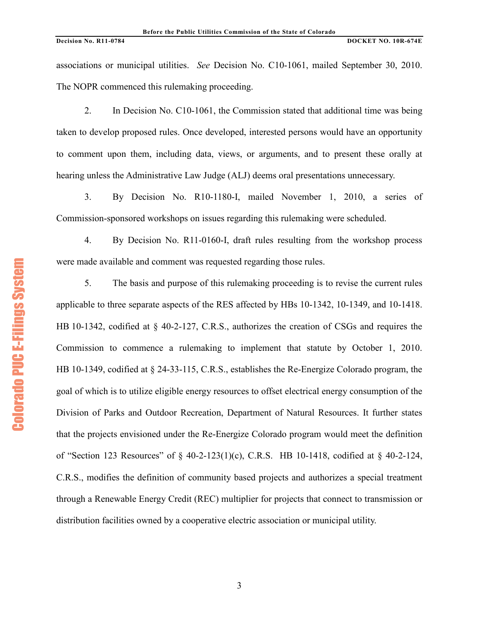associations or municipal utilities. *See* Decision No. C10-1061, mailed September 30, 2010. The NOPR commenced this rulemaking proceeding.

2. In Decision No. C10-1061, the Commission stated that additional time was being taken to develop proposed rules. Once developed, interested persons would have an opportunity to comment upon them, including data, views, or arguments, and to present these orally at hearing unless the Administrative Law Judge (ALJ) deems oral presentations unnecessary.

3. By Decision No. R10-1180-I, mailed November 1, 2010, a series of Commission-sponsored workshops on issues regarding this rulemaking were scheduled.

4. By Decision No. R11-0160-I, draft rules resulting from the workshop process were made available and comment was requested regarding those rules.

5. The basis and purpose of this rulemaking proceeding is to revise the current rules applicable to three separate aspects of the RES affected by HBs 10-1342, 10-1349, and 10-1418. HB 10-1342, codified at § 40-2-127, C.R.S., authorizes the creation of CSGs and requires the Commission to commence a rulemaking to implement that statute by October 1, 2010. HB 10-1349, codified at § 24-33-115, C.R.S., establishes the Re-Energize Colorado program, the goal of which is to utilize eligible energy resources to offset electrical energy consumption of the Division of Parks and Outdoor Recreation, Department of Natural Resources. It further states that the projects envisioned under the Re-Energize Colorado program would meet the definition of "Section 123 Resources" of § 40-2-123(1)(c), C.R.S. HB 10-1418, codified at § 40-2-124, C.R.S., modifies the definition of community based projects and authorizes a special treatment through a Renewable Energy Credit (REC) multiplier for projects that connect to transmission or distribution facilities owned by a cooperative electric association or municipal utility.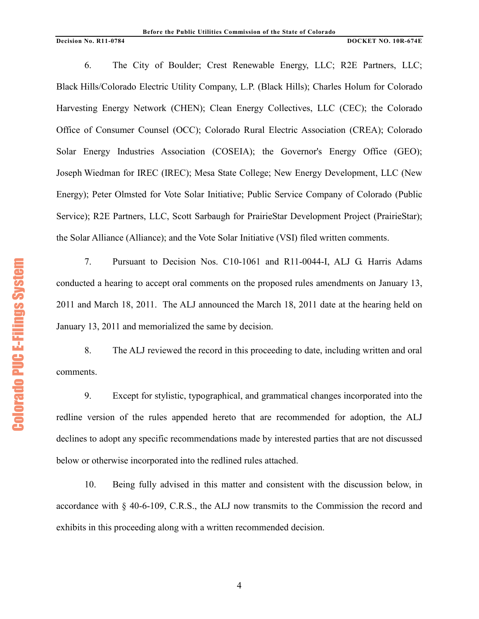6. The City of Boulder; Crest Renewable Energy, LLC; R2E Partners, LLC; Black Hills/Colorado Electric Utility Company, L.P. (Black Hills); Charles Holum for Colorado Harvesting Energy Network (CHEN); Clean Energy Collectives, LLC (CEC); the Colorado Office of Consumer Counsel (OCC); Colorado Rural Electric Association (CREA); Colorado Solar Energy Industries Association (COSEIA); the Governor's Energy Office (GEO); Joseph Wiedman for IREC (IREC); Mesa State College; New Energy Development, LLC (New Energy); Peter Olmsted for Vote Solar Initiative; Public Service Company of Colorado (Public Service); R2E Partners, LLC, Scott Sarbaugh for PrairieStar Development Project (PrairieStar); the Solar Alliance (Alliance); and the Vote Solar Initiative (VSI) filed written comments.

7. Pursuant to Decision Nos. C10-1061 and R11-0044-I, ALJ G. Harris Adams conducted a hearing to accept oral comments on the proposed rules amendments on January 13, 2011 and March 18, 2011. The ALJ announced the March 18, 2011 date at the hearing held on January 13, 2011 and memorialized the same by decision.

8. The ALJ reviewed the record in this proceeding to date, including written and oral comments.

9. Except for stylistic, typographical, and grammatical changes incorporated into the redline version of the rules appended hereto that are recommended for adoption, the ALJ declines to adopt any specific recommendations made by interested parties that are not discussed below or otherwise incorporated into the redlined rules attached.

10. Being fully advised in this matter and consistent with the discussion below, in accordance with § 40-6-109, C.R.S., the ALJ now transmits to the Commission the record and exhibits in this proceeding along with a written recommended decision.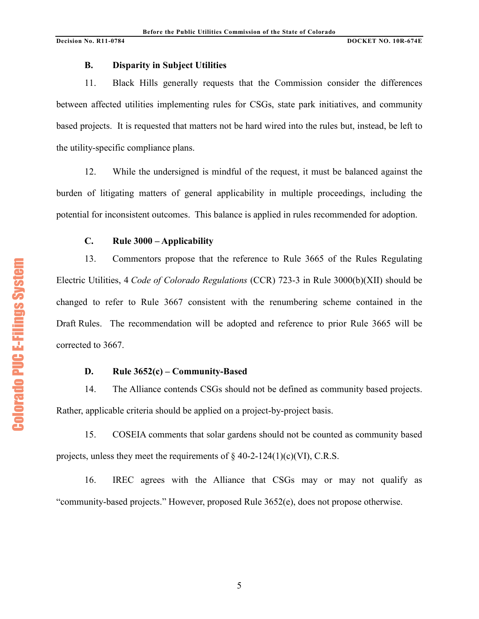# **B. Disparity in Subject Utilities**

11. Black Hills generally requests that the Commission consider the differences between affected utilities implementing rules for CSGs, state park initiatives, and community based projects. It is requested that matters not be hard wired into the rules but, instead, be left to the utility-specific compliance plans.

12. While the undersigned is mindful of the request, it must be balanced against the burden of litigating matters of general applicability in multiple proceedings, including the potential for inconsistent outcomes. This balance is applied in rules recommended for adoption.

# **C. Rule 3000 – Applicability**

13. Commentors propose that the reference to Rule 3665 of the Rules Regulating Electric Utilities, 4 *Code of Colorado Regulations* (CCR) 723-3 in Rule 3000(b)(XII) should be changed to refer to Rule 3667 consistent with the renumbering scheme contained in the Draft Rules. The recommendation will be adopted and reference to prior Rule 3665 will be corrected to 3667.

# **D. Rule 3652(c) – Community-Based**

14. The Alliance contends CSGs should not be defined as community based projects. Rather, applicable criteria should be applied on a project-by-project basis.

15. COSEIA comments that solar gardens should not be counted as community based projects, unless they meet the requirements of  $\S$  40-2-124(1)(c)(VI), C.R.S.

16. IREC agrees with the Alliance that CSGs may or may not qualify as "community-based projects." However, proposed Rule 3652(e), does not propose otherwise.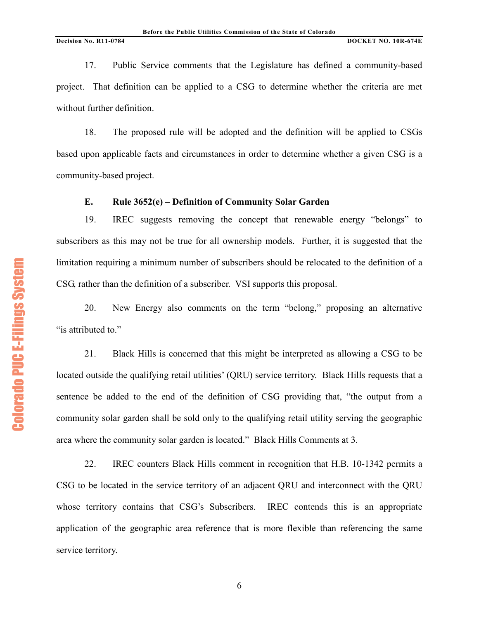17. Public Service comments that the Legislature has defined a community-based project. That definition can be applied to a CSG to determine whether the criteria are met without further definition.

18. The proposed rule will be adopted and the definition will be applied to CSGs based upon applicable facts and circumstances in order to determine whether a given CSG is a community-based project.

## **E. Rule 3652(e) – Definition of Community Solar Garden**

19. IREC suggests removing the concept that renewable energy "belongs" to subscribers as this may not be true for all ownership models. Further, it is suggested that the limitation requiring a minimum number of subscribers should be relocated to the definition of a CSG, rather than the definition of a subscriber. VSI supports this proposal.

20. New Energy also comments on the term "belong," proposing an alternative "is attributed to."

21. Black Hills is concerned that this might be interpreted as allowing a CSG to be located outside the qualifying retail utilities' (QRU) service territory. Black Hills requests that a sentence be added to the end of the definition of CSG providing that, "the output from a community solar garden shall be sold only to the qualifying retail utility serving the geographic area where the community solar garden is located." Black Hills Comments at 3.

22. IREC counters Black Hills comment in recognition that H.B. 10-1342 permits a CSG to be located in the service territory of an adjacent QRU and interconnect with the QRU whose territory contains that CSG's Subscribers. IREC contends this is an appropriate application of the geographic area reference that is more flexible than referencing the same service territory.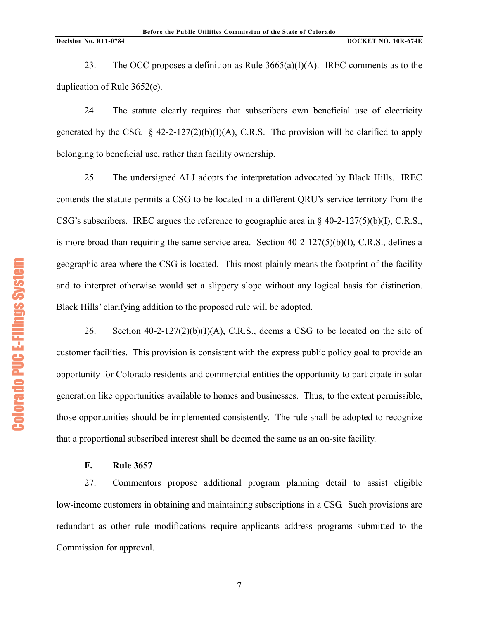23. The OCC proposes a definition as Rule  $3665(a)(I)(A)$ . IREC comments as to the duplication of Rule 3652(e).

24. The statute clearly requires that subscribers own beneficial use of electricity generated by the CSG.  $\S$  42-2-127(2)(b)(I)(A), C.R.S. The provision will be clarified to apply belonging to beneficial use, rather than facility ownership.

25. The undersigned ALJ adopts the interpretation advocated by Black Hills. IREC contends the statute permits a CSG to be located in a different QRU's service territory from the CSG's subscribers. IREC argues the reference to geographic area in  $\frac{1}{2}$  40-2-127(5)(b)(I), C.R.S., is more broad than requiring the same service area. Section 40-2-127(5)(b)(I), C.R.S., defines a geographic area where the CSG is located. This most plainly means the footprint of the facility and to interpret otherwise would set a slippery slope without any logical basis for distinction. Black Hills' clarifying addition to the proposed rule will be adopted.

26. Section 40-2-127(2)(b)(I)(A), C.R.S., deems a CSG to be located on the site of customer facilities. This provision is consistent with the express public policy goal to provide an opportunity for Colorado residents and commercial entities the opportunity to participate in solar generation like opportunities available to homes and businesses. Thus, to the extent permissible, those opportunities should be implemented consistently. The rule shall be adopted to recognize that a proportional subscribed interest shall be deemed the same as an on-site facility.

# **F. Rule 3657**

27. Commentors propose additional program planning detail to assist eligible low-income customers in obtaining and maintaining subscriptions in a CSG. Such provisions are redundant as other rule modifications require applicants address programs submitted to the Commission for approval.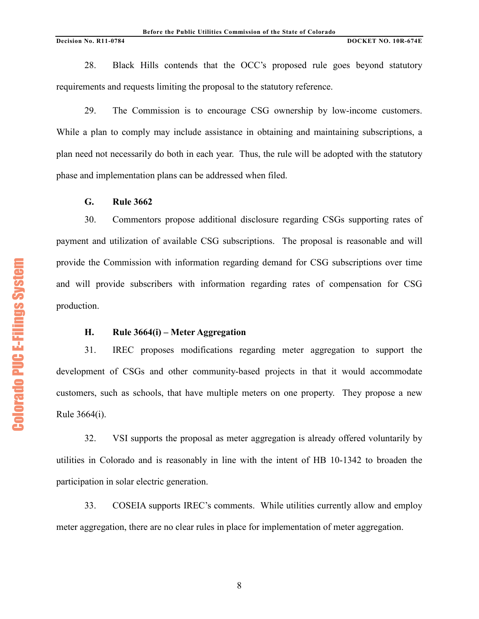28. Black Hills contends that the OCC's proposed rule goes beyond statutory requirements and requests limiting the proposal to the statutory reference.

29. The Commission is to encourage CSG ownership by low-income customers. While a plan to comply may include assistance in obtaining and maintaining subscriptions, a plan need not necessarily do both in each year. Thus, the rule will be adopted with the statutory phase and implementation plans can be addressed when filed.

## **G. Rule 3662**

30. Commentors propose additional disclosure regarding CSGs supporting rates of payment and utilization of available CSG subscriptions. The proposal is reasonable and will provide the Commission with information regarding demand for CSG subscriptions over time and will provide subscribers with information regarding rates of compensation for CSG production.

# **H. Rule 3664(i) – Meter Aggregation**

31. IREC proposes modifications regarding meter aggregation to support the development of CSGs and other community-based projects in that it would accommodate customers, such as schools, that have multiple meters on one property. They propose a new Rule 3664(i).

32. VSI supports the proposal as meter aggregation is already offered voluntarily by utilities in Colorado and is reasonably in line with the intent of HB 10-1342 to broaden the participation in solar electric generation.

33. COSEIA supports IREC's comments. While utilities currently allow and employ meter aggregation, there are no clear rules in place for implementation of meter aggregation.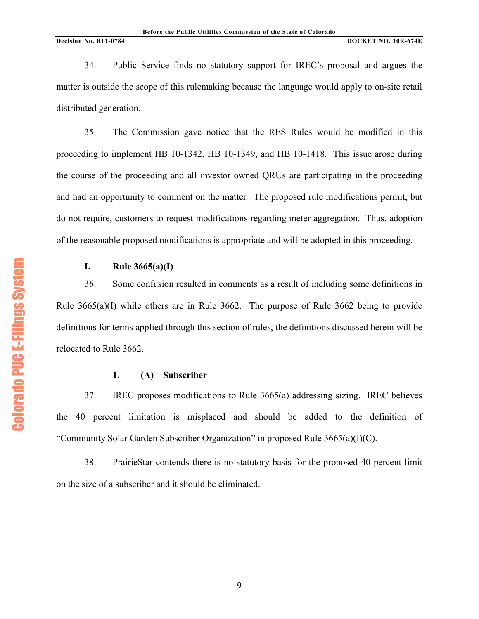34. Public Service finds no statutory support for IREC's proposal and argues the matter is outside the scope of this rulemaking because the language would apply to on-site retail distributed generation.

35. The Commission gave notice that the RES Rules would be modified in this proceeding to implement HB 10-1342, HB 10-1349, and HB 10-1418. This issue arose during the course of the proceeding and all investor owned QRUs are participating in the proceeding and had an opportunity to comment on the matter. The proposed rule modifications permit, but do not require, customers to request modifications regarding meter aggregation. Thus, adoption of the reasonable proposed modifications is appropriate and will be adopted in this proceeding.

# **I. Rule 3665(a)(I)**

36. Some confusion resulted in comments as a result of including some definitions in Rule  $3665(a)(I)$  while others are in Rule 3662. The purpose of Rule 3662 being to provide definitions for terms applied through this section of rules, the definitions discussed herein will be relocated to Rule 3662.

# **1. (A) – Subscriber**

37. IREC proposes modifications to Rule 3665(a) addressing sizing. IREC believes the 40 percent limitation is misplaced and should be added to the definition of "Community Solar Garden Subscriber Organization" in proposed Rule 3665(a)(I)(C).

38. PrairieStar contends there is no statutory basis for the proposed 40 percent limit on the size of a subscriber and it should be eliminated.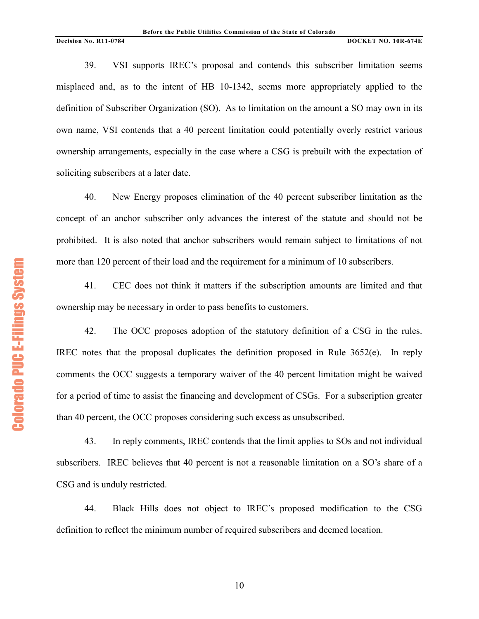39. VSI supports IREC's proposal and contends this subscriber limitation seems misplaced and, as to the intent of HB 10-1342, seems more appropriately applied to the definition of Subscriber Organization (SO). As to limitation on the amount a SO may own in its own name, VSI contends that a 40 percent limitation could potentially overly restrict various ownership arrangements, especially in the case where a CSG is prebuilt with the expectation of soliciting subscribers at a later date.

40. New Energy proposes elimination of the 40 percent subscriber limitation as the concept of an anchor subscriber only advances the interest of the statute and should not be prohibited. It is also noted that anchor subscribers would remain subject to limitations of not more than 120 percent of their load and the requirement for a minimum of 10 subscribers.

41. CEC does not think it matters if the subscription amounts are limited and that ownership may be necessary in order to pass benefits to customers.

42. The OCC proposes adoption of the statutory definition of a CSG in the rules. IREC notes that the proposal duplicates the definition proposed in Rule 3652(e). In reply comments the OCC suggests a temporary waiver of the 40 percent limitation might be waived for a period of time to assist the financing and development of CSGs. For a subscription greater than 40 percent, the OCC proposes considering such excess as unsubscribed.

43. In reply comments, IREC contends that the limit applies to SOs and not individual subscribers. IREC believes that 40 percent is not a reasonable limitation on a SO's share of a CSG and is unduly restricted.

44. Black Hills does not object to IREC's proposed modification to the CSG definition to reflect the minimum number of required subscribers and deemed location.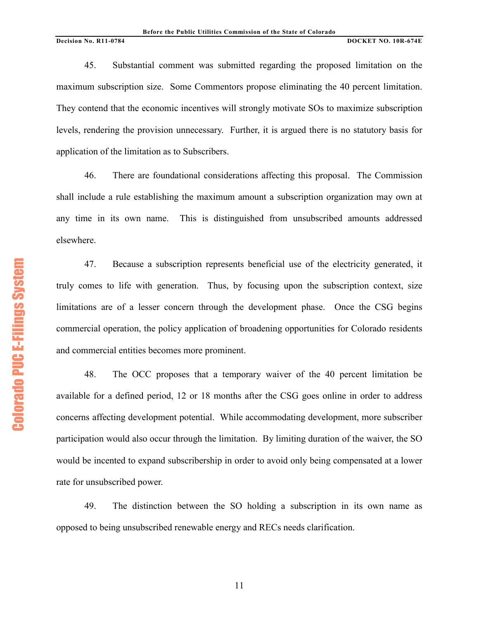45. Substantial comment was submitted regarding the proposed limitation on the maximum subscription size. Some Commentors propose eliminating the 40 percent limitation. They contend that the economic incentives will strongly motivate SOs to maximize subscription levels, rendering the provision unnecessary. Further, it is argued there is no statutory basis for application of the limitation as to Subscribers.

46. There are foundational considerations affecting this proposal. The Commission shall include a rule establishing the maximum amount a subscription organization may own at any time in its own name. This is distinguished from unsubscribed amounts addressed elsewhere.

47. Because a subscription represents beneficial use of the electricity generated, it truly comes to life with generation. Thus, by focusing upon the subscription context, size limitations are of a lesser concern through the development phase. Once the CSG begins commercial operation, the policy application of broadening opportunities for Colorado residents and commercial entities becomes more prominent.

48. The OCC proposes that a temporary waiver of the 40 percent limitation be available for a defined period, 12 or 18 months after the CSG goes online in order to address concerns affecting development potential. While accommodating development, more subscriber participation would also occur through the limitation. By limiting duration of the waiver, the SO would be incented to expand subscribership in order to avoid only being compensated at a lower rate for unsubscribed power.

49. The distinction between the SO holding a subscription in its own name as opposed to being unsubscribed renewable energy and RECs needs clarification.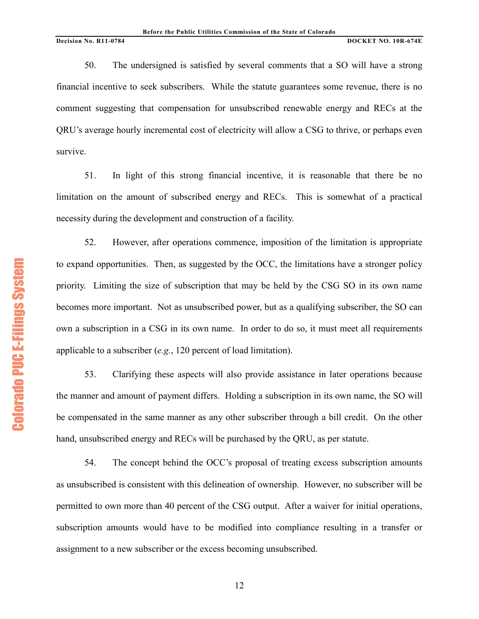50. The undersigned is satisfied by several comments that a SO will have a strong financial incentive to seek subscribers. While the statute guarantees some revenue, there is no comment suggesting that compensation for unsubscribed renewable energy and RECs at the QRU's average hourly incremental cost of electricity will allow a CSG to thrive, or perhaps even survive.

51. In light of this strong financial incentive, it is reasonable that there be no limitation on the amount of subscribed energy and RECs. This is somewhat of a practical necessity during the development and construction of a facility.

52. However, after operations commence, imposition of the limitation is appropriate to expand opportunities. Then, as suggested by the OCC, the limitations have a stronger policy priority. Limiting the size of subscription that may be held by the CSG SO in its own name becomes more important. Not as unsubscribed power, but as a qualifying subscriber, the SO can own a subscription in a CSG in its own name. In order to do so, it must meet all requirements applicable to a subscriber (*e.g.*, 120 percent of load limitation).

53. Clarifying these aspects will also provide assistance in later operations because the manner and amount of payment differs. Holding a subscription in its own name, the SO will be compensated in the same manner as any other subscriber through a bill credit. On the other hand, unsubscribed energy and RECs will be purchased by the QRU, as per statute.

54. The concept behind the OCC's proposal of treating excess subscription amounts as unsubscribed is consistent with this delineation of ownership. However, no subscriber will be permitted to own more than 40 percent of the CSG output. After a waiver for initial operations, subscription amounts would have to be modified into compliance resulting in a transfer or assignment to a new subscriber or the excess becoming unsubscribed.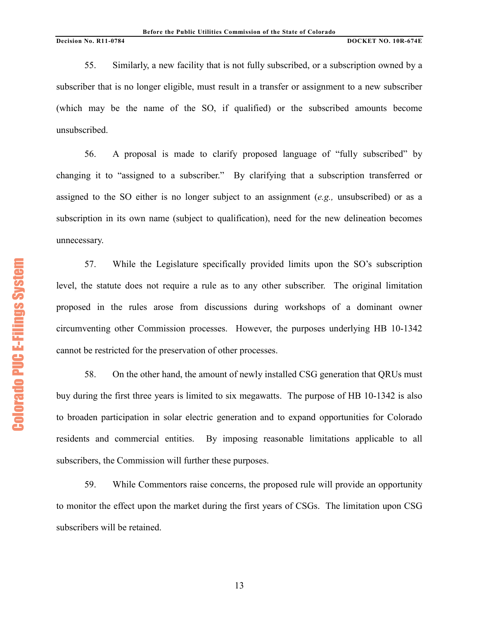55. Similarly, a new facility that is not fully subscribed, or a subscription owned by a subscriber that is no longer eligible, must result in a transfer or assignment to a new subscriber (which may be the name of the SO, if qualified) or the subscribed amounts become unsubscribed.

56. A proposal is made to clarify proposed language of "fully subscribed" by changing it to "assigned to a subscriber." By clarifying that a subscription transferred or assigned to the SO either is no longer subject to an assignment (*e.g.,* unsubscribed) or as a subscription in its own name (subject to qualification), need for the new delineation becomes unnecessary.

57. While the Legislature specifically provided limits upon the SO's subscription level, the statute does not require a rule as to any other subscriber. The original limitation proposed in the rules arose from discussions during workshops of a dominant owner circumventing other Commission processes. However, the purposes underlying HB 10-1342 cannot be restricted for the preservation of other processes.

58. On the other hand, the amount of newly installed CSG generation that QRUs must buy during the first three years is limited to six megawatts. The purpose of HB 10-1342 is also to broaden participation in solar electric generation and to expand opportunities for Colorado residents and commercial entities. By imposing reasonable limitations applicable to all subscribers, the Commission will further these purposes.

59. While Commentors raise concerns, the proposed rule will provide an opportunity to monitor the effect upon the market during the first years of CSGs. The limitation upon CSG subscribers will be retained.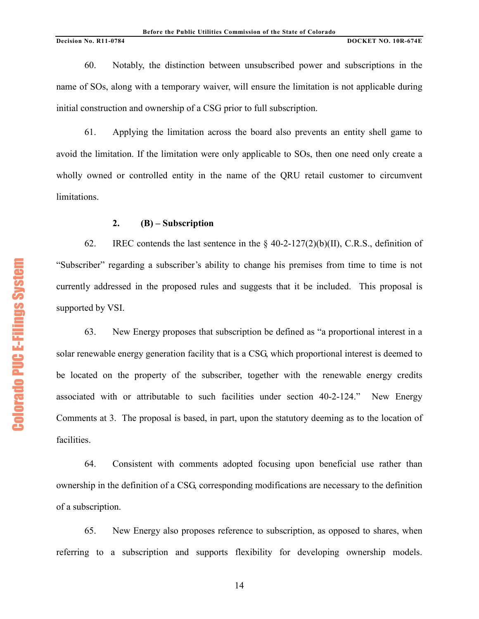60. Notably, the distinction between unsubscribed power and subscriptions in the name of SOs, along with a temporary waiver, will ensure the limitation is not applicable during initial construction and ownership of a CSG prior to full subscription.

61. Applying the limitation across the board also prevents an entity shell game to avoid the limitation. If the limitation were only applicable to SOs, then one need only create a wholly owned or controlled entity in the name of the QRU retail customer to circumvent limitations.

## **2. (B) – Subscription**

62. IREC contends the last sentence in the  $\S$  40-2-127(2)(b)(II), C.R.S., definition of "Subscriber" regarding a subscriber's ability to change his premises from time to time is not currently addressed in the proposed rules and suggests that it be included. This proposal is supported by VSI.

63. New Energy proposes that subscription be defined as "a proportional interest in a solar renewable energy generation facility that is a CSG, which proportional interest is deemed to be located on the property of the subscriber, together with the renewable energy credits associated with or attributable to such facilities under section 40-2-124." New Energy Comments at 3. The proposal is based, in part, upon the statutory deeming as to the location of facilities.

64. Consistent with comments adopted focusing upon beneficial use rather than ownership in the definition of a CSG, corresponding modifications are necessary to the definition of a subscription.

65. New Energy also proposes reference to subscription, as opposed to shares, when referring to a subscription and supports flexibility for developing ownership models.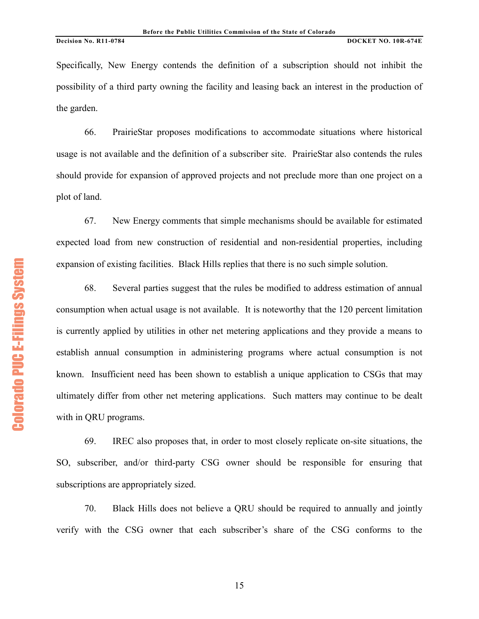Specifically, New Energy contends the definition of a subscription should not inhibit the possibility of a third party owning the facility and leasing back an interest in the production of the garden.

66. PrairieStar proposes modifications to accommodate situations where historical usage is not available and the definition of a subscriber site. PrairieStar also contends the rules should provide for expansion of approved projects and not preclude more than one project on a plot of land.

67. New Energy comments that simple mechanisms should be available for estimated expected load from new construction of residential and non-residential properties, including expansion of existing facilities. Black Hills replies that there is no such simple solution.

68. Several parties suggest that the rules be modified to address estimation of annual consumption when actual usage is not available. It is noteworthy that the 120 percent limitation is currently applied by utilities in other net metering applications and they provide a means to establish annual consumption in administering programs where actual consumption is not known. Insufficient need has been shown to establish a unique application to CSGs that may ultimately differ from other net metering applications. Such matters may continue to be dealt with in QRU programs.

69. IREC also proposes that, in order to most closely replicate on-site situations, the SO, subscriber, and/or third-party CSG owner should be responsible for ensuring that subscriptions are appropriately sized.

70. Black Hills does not believe a QRU should be required to annually and jointly verify with the CSG owner that each subscriber's share of the CSG conforms to the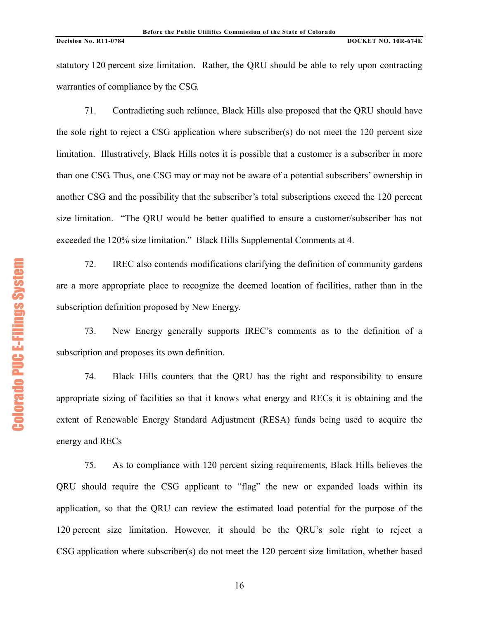statutory 120 percent size limitation. Rather, the QRU should be able to rely upon contracting warranties of compliance by the CSG.

71. Contradicting such reliance, Black Hills also proposed that the QRU should have the sole right to reject a CSG application where subscriber(s) do not meet the 120 percent size limitation. Illustratively, Black Hills notes it is possible that a customer is a subscriber in more than one CSG. Thus, one CSG may or may not be aware of a potential subscribers' ownership in another CSG and the possibility that the subscriber's total subscriptions exceed the 120 percent size limitation. "The QRU would be better qualified to ensure a customer/subscriber has not exceeded the 120% size limitation." Black Hills Supplemental Comments at 4.

72. IREC also contends modifications clarifying the definition of community gardens are a more appropriate place to recognize the deemed location of facilities, rather than in the subscription definition proposed by New Energy.

73. New Energy generally supports IREC's comments as to the definition of a subscription and proposes its own definition.

74. Black Hills counters that the QRU has the right and responsibility to ensure appropriate sizing of facilities so that it knows what energy and RECs it is obtaining and the extent of Renewable Energy Standard Adjustment (RESA) funds being used to acquire the energy and RECs

75. As to compliance with 120 percent sizing requirements, Black Hills believes the QRU should require the CSG applicant to "flag" the new or expanded loads within its application, so that the QRU can review the estimated load potential for the purpose of the 120 percent size limitation. However, it should be the QRU's sole right to reject a CSG application where subscriber(s) do not meet the 120 percent size limitation, whether based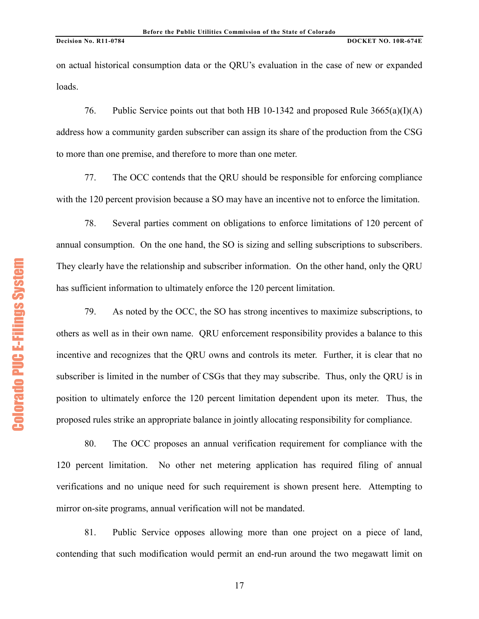on actual historical consumption data or the QRU's evaluation in the case of new or expanded loads.

76. Public Service points out that both HB 10-1342 and proposed Rule 3665(a)(I)(A) address how a community garden subscriber can assign its share of the production from the CSG to more than one premise, and therefore to more than one meter.

77. The OCC contends that the QRU should be responsible for enforcing compliance with the 120 percent provision because a SO may have an incentive not to enforce the limitation.

78. Several parties comment on obligations to enforce limitations of 120 percent of annual consumption. On the one hand, the SO is sizing and selling subscriptions to subscribers. They clearly have the relationship and subscriber information. On the other hand, only the QRU has sufficient information to ultimately enforce the 120 percent limitation.

79. As noted by the OCC, the SO has strong incentives to maximize subscriptions, to others as well as in their own name. QRU enforcement responsibility provides a balance to this incentive and recognizes that the QRU owns and controls its meter. Further, it is clear that no subscriber is limited in the number of CSGs that they may subscribe. Thus, only the QRU is in position to ultimately enforce the 120 percent limitation dependent upon its meter. Thus, the proposed rules strike an appropriate balance in jointly allocating responsibility for compliance.

80. The OCC proposes an annual verification requirement for compliance with the 120 percent limitation. No other net metering application has required filing of annual verifications and no unique need for such requirement is shown present here. Attempting to mirror on-site programs, annual verification will not be mandated.

81. Public Service opposes allowing more than one project on a piece of land, contending that such modification would permit an end-run around the two megawatt limit on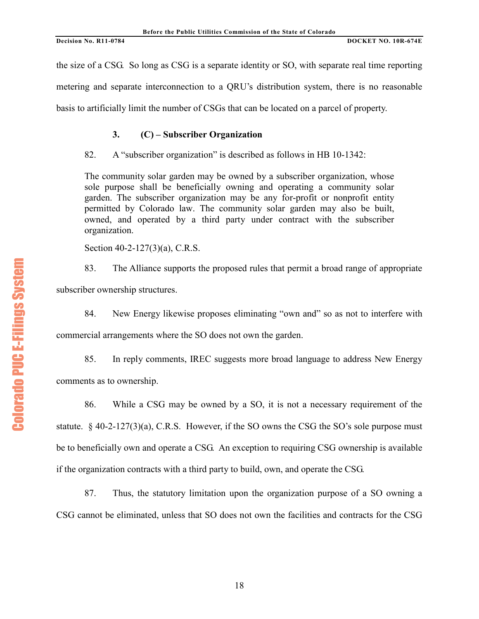the size of a CSG. So long as CSG is a separate identity or SO, with separate real time reporting metering and separate interconnection to a QRU's distribution system, there is no reasonable basis to artificially limit the number of CSGs that can be located on a parcel of property.

# **3. (C) – Subscriber Organization**

82. A "subscriber organization" is described as follows in HB 10-1342:

The community solar garden may be owned by a subscriber organization, whose sole purpose shall be beneficially owning and operating a community solar garden. The subscriber organization may be any for-profit or nonprofit entity permitted by Colorado law. The community solar garden may also be built, owned, and operated by a third party under contract with the subscriber organization.

Section 40-2-127(3)(a), C.R.S.

83. The Alliance supports the proposed rules that permit a broad range of appropriate subscriber ownership structures.

84. New Energy likewise proposes eliminating "own and" so as not to interfere with commercial arrangements where the SO does not own the garden.

85. In reply comments, IREC suggests more broad language to address New Energy comments as to ownership.

86. While a CSG may be owned by a SO, it is not a necessary requirement of the statute. § 40-2-127(3)(a), C.R.S. However, if the SO owns the CSG the SO's sole purpose must be to beneficially own and operate a CSG. An exception to requiring CSG ownership is available if the organization contracts with a third party to build, own, and operate the CSG.

87. Thus, the statutory limitation upon the organization purpose of a SO owning a CSG cannot be eliminated, unless that SO does not own the facilities and contracts for the CSG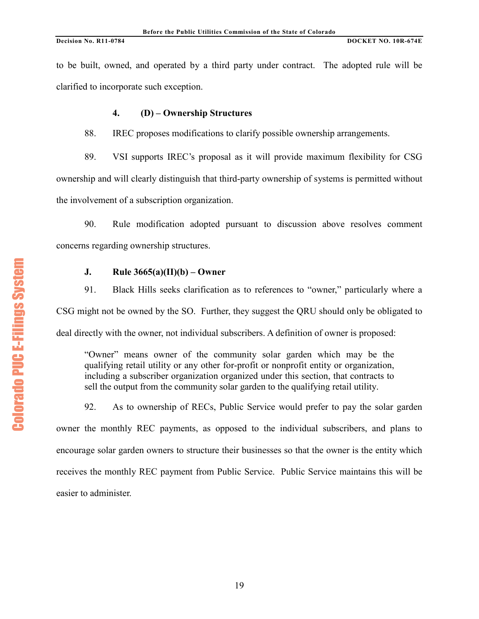to be built, owned, and operated by a third party under contract. The adopted rule will be clarified to incorporate such exception.

# **4. (D) – Ownership Structures**

88. IREC proposes modifications to clarify possible ownership arrangements.

89. VSI supports IREC's proposal as it will provide maximum flexibility for CSG ownership and will clearly distinguish that third-party ownership of systems is permitted without the involvement of a subscription organization.

90. Rule modification adopted pursuant to discussion above resolves comment concerns regarding ownership structures.

# **J. Rule 3665(a)(II)(b) – Owner**

91. Black Hills seeks clarification as to references to "owner," particularly where a CSG might not be owned by the SO. Further, they suggest the QRU should only be obligated to deal directly with the owner, not individual subscribers. A definition of owner is proposed:

"Owner" means owner of the community solar garden which may be the qualifying retail utility or any other for-profit or nonprofit entity or organization, including a subscriber organization organized under this section, that contracts to sell the output from the community solar garden to the qualifying retail utility.

92. As to ownership of RECs, Public Service would prefer to pay the solar garden owner the monthly REC payments, as opposed to the individual subscribers, and plans to encourage solar garden owners to structure their businesses so that the owner is the entity which receives the monthly REC payment from Public Service. Public Service maintains this will be easier to administer.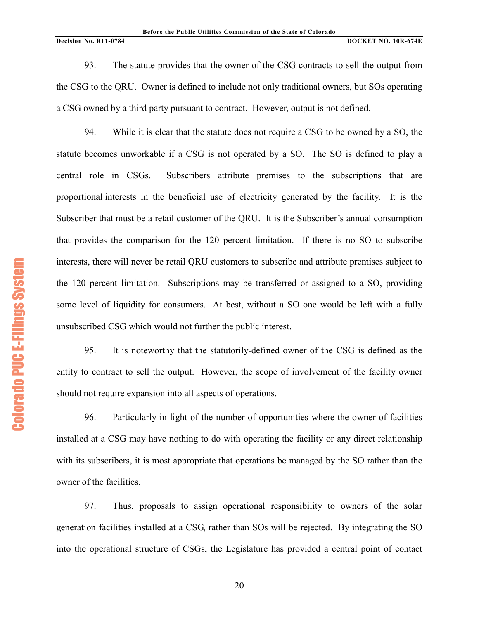93. The statute provides that the owner of the CSG contracts to sell the output from the CSG to the QRU. Owner is defined to include not only traditional owners, but SOs operating a CSG owned by a third party pursuant to contract. However, output is not defined.

94. While it is clear that the statute does not require a CSG to be owned by a SO, the statute becomes unworkable if a CSG is not operated by a SO. The SO is defined to play a central role in CSGs. Subscribers attribute premises to the subscriptions that are proportional interests in the beneficial use of electricity generated by the facility. It is the Subscriber that must be a retail customer of the QRU. It is the Subscriber's annual consumption that provides the comparison for the 120 percent limitation. If there is no SO to subscribe interests, there will never be retail QRU customers to subscribe and attribute premises subject to the 120 percent limitation. Subscriptions may be transferred or assigned to a SO, providing some level of liquidity for consumers. At best, without a SO one would be left with a fully unsubscribed CSG which would not further the public interest.

95. It is noteworthy that the statutorily-defined owner of the CSG is defined as the entity to contract to sell the output. However, the scope of involvement of the facility owner should not require expansion into all aspects of operations.

96. Particularly in light of the number of opportunities where the owner of facilities installed at a CSG may have nothing to do with operating the facility or any direct relationship with its subscribers, it is most appropriate that operations be managed by the SO rather than the owner of the facilities.

97. Thus, proposals to assign operational responsibility to owners of the solar generation facilities installed at a CSG, rather than SOs will be rejected. By integrating the SO into the operational structure of CSGs, the Legislature has provided a central point of contact

**Colorado PUC E-Filings System** Colorado PUC E+Filings System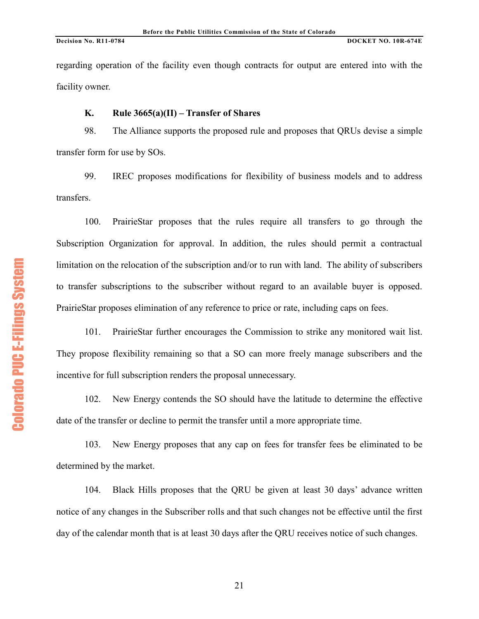regarding operation of the facility even though contracts for output are entered into with the facility owner.

## **K. Rule 3665(a)(II) – Transfer of Shares**

98. The Alliance supports the proposed rule and proposes that QRUs devise a simple transfer form for use by SOs.

99. IREC proposes modifications for flexibility of business models and to address transfers.

100. PrairieStar proposes that the rules require all transfers to go through the Subscription Organization for approval. In addition, the rules should permit a contractual limitation on the relocation of the subscription and/or to run with land. The ability of subscribers to transfer subscriptions to the subscriber without regard to an available buyer is opposed. PrairieStar proposes elimination of any reference to price or rate, including caps on fees.

101. PrairieStar further encourages the Commission to strike any monitored wait list. They propose flexibility remaining so that a SO can more freely manage subscribers and the incentive for full subscription renders the proposal unnecessary.

102. New Energy contends the SO should have the latitude to determine the effective date of the transfer or decline to permit the transfer until a more appropriate time.

103. New Energy proposes that any cap on fees for transfer fees be eliminated to be determined by the market.

104. Black Hills proposes that the QRU be given at least 30 days' advance written notice of any changes in the Subscriber rolls and that such changes not be effective until the first day of the calendar month that is at least 30 days after the QRU receives notice of such changes.

**Colorado PUC E-Filings System** Colorado PUC E+Filings System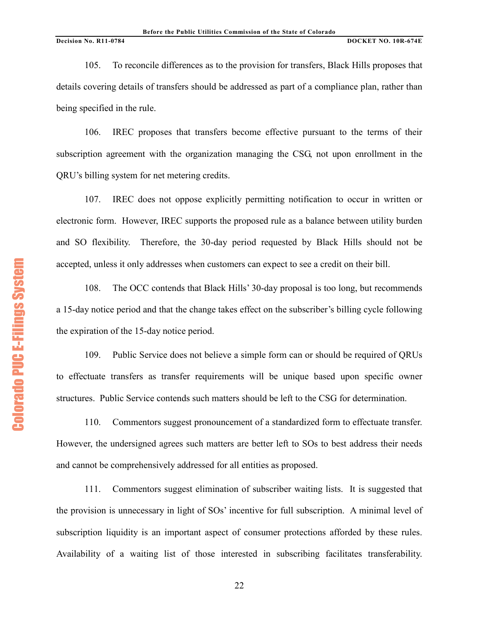105. To reconcile differences as to the provision for transfers, Black Hills proposes that details covering details of transfers should be addressed as part of a compliance plan, rather than being specified in the rule.

106. IREC proposes that transfers become effective pursuant to the terms of their subscription agreement with the organization managing the CSG, not upon enrollment in the QRU's billing system for net metering credits.

107. IREC does not oppose explicitly permitting notification to occur in written or electronic form. However, IREC supports the proposed rule as a balance between utility burden and SO flexibility. Therefore, the 30-day period requested by Black Hills should not be accepted, unless it only addresses when customers can expect to see a credit on their bill.

108. The OCC contends that Black Hills' 30-day proposal is too long, but recommends a 15-day notice period and that the change takes effect on the subscriber's billing cycle following the expiration of the 15-day notice period.

109. Public Service does not believe a simple form can or should be required of QRUs to effectuate transfers as transfer requirements will be unique based upon specific owner structures. Public Service contends such matters should be left to the CSG for determination.

110. Commentors suggest pronouncement of a standardized form to effectuate transfer. However, the undersigned agrees such matters are better left to SOs to best address their needs and cannot be comprehensively addressed for all entities as proposed.

111. Commentors suggest elimination of subscriber waiting lists. It is suggested that the provision is unnecessary in light of SOs' incentive for full subscription. A minimal level of subscription liquidity is an important aspect of consumer protections afforded by these rules. Availability of a waiting list of those interested in subscribing facilitates transferability.

**Colorado PUC E-Filings System** Colorado PUC E+Filings System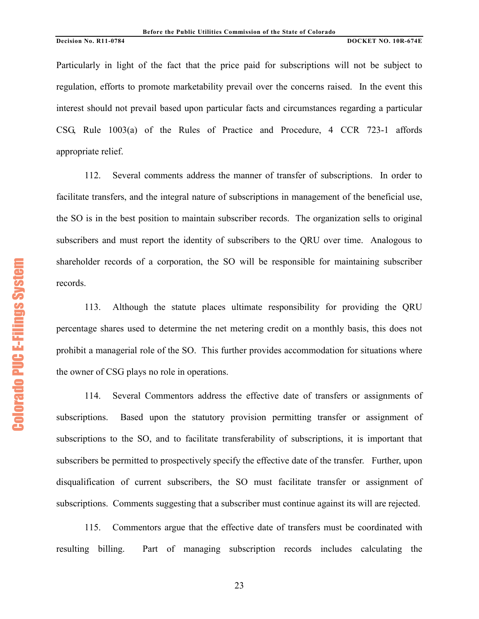Particularly in light of the fact that the price paid for subscriptions will not be subject to regulation, efforts to promote marketability prevail over the concerns raised. In the event this interest should not prevail based upon particular facts and circumstances regarding a particular CSG, Rule 1003(a) of the Rules of Practice and Procedure, 4 CCR 723-1 affords appropriate relief.

112. Several comments address the manner of transfer of subscriptions. In order to facilitate transfers, and the integral nature of subscriptions in management of the beneficial use, the SO is in the best position to maintain subscriber records. The organization sells to original subscribers and must report the identity of subscribers to the QRU over time. Analogous to shareholder records of a corporation, the SO will be responsible for maintaining subscriber records.

113. Although the statute places ultimate responsibility for providing the QRU percentage shares used to determine the net metering credit on a monthly basis, this does not prohibit a managerial role of the SO. This further provides accommodation for situations where the owner of CSG plays no role in operations.

114. Several Commentors address the effective date of transfers or assignments of subscriptions. Based upon the statutory provision permitting transfer or assignment of subscriptions to the SO, and to facilitate transferability of subscriptions, it is important that subscribers be permitted to prospectively specify the effective date of the transfer. Further, upon disqualification of current subscribers, the SO must facilitate transfer or assignment of subscriptions. Comments suggesting that a subscriber must continue against its will are rejected.

115. Commentors argue that the effective date of transfers must be coordinated with resulting billing. Part of managing subscription records includes calculating the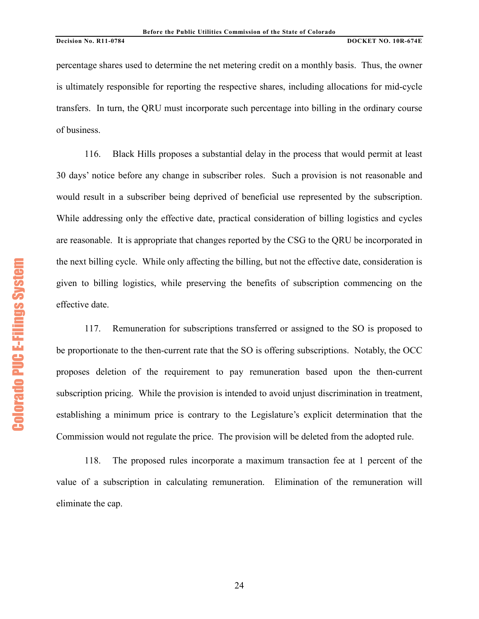percentage shares used to determine the net metering credit on a monthly basis. Thus, the owner is ultimately responsible for reporting the respective shares, including allocations for mid-cycle transfers. In turn, the QRU must incorporate such percentage into billing in the ordinary course of business.

116. Black Hills proposes a substantial delay in the process that would permit at least 30 days' notice before any change in subscriber roles. Such a provision is not reasonable and would result in a subscriber being deprived of beneficial use represented by the subscription. While addressing only the effective date, practical consideration of billing logistics and cycles are reasonable. It is appropriate that changes reported by the CSG to the QRU be incorporated in the next billing cycle. While only affecting the billing, but not the effective date, consideration is given to billing logistics, while preserving the benefits of subscription commencing on the effective date.

117. Remuneration for subscriptions transferred or assigned to the SO is proposed to be proportionate to the then-current rate that the SO is offering subscriptions. Notably, the OCC proposes deletion of the requirement to pay remuneration based upon the then-current subscription pricing. While the provision is intended to avoid unjust discrimination in treatment, establishing a minimum price is contrary to the Legislature's explicit determination that the Commission would not regulate the price. The provision will be deleted from the adopted rule.

118. The proposed rules incorporate a maximum transaction fee at 1 percent of the value of a subscription in calculating remuneration. Elimination of the remuneration will eliminate the cap.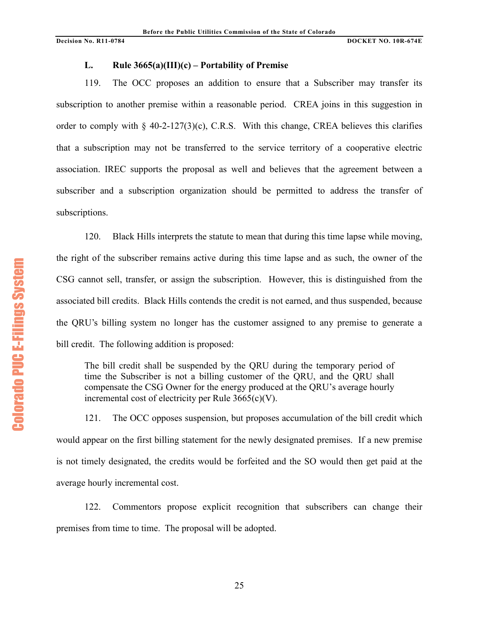# **L. Rule 3665(a)(III)(c) – Portability of Premise**

119. The OCC proposes an addition to ensure that a Subscriber may transfer its subscription to another premise within a reasonable period. CREA joins in this suggestion in order to comply with  $\S 40-2-127(3)(c)$ , C.R.S. With this change, CREA believes this clarifies that a subscription may not be transferred to the service territory of a cooperative electric association. IREC supports the proposal as well and believes that the agreement between a subscriber and a subscription organization should be permitted to address the transfer of subscriptions.

120. Black Hills interprets the statute to mean that during this time lapse while moving, the right of the subscriber remains active during this time lapse and as such, the owner of the CSG cannot sell, transfer, or assign the subscription. However, this is distinguished from the associated bill credits. Black Hills contends the credit is not earned, and thus suspended, because the QRU's billing system no longer has the customer assigned to any premise to generate a bill credit. The following addition is proposed:

The bill credit shall be suspended by the QRU during the temporary period of time the Subscriber is not a billing customer of the QRU, and the QRU shall compensate the CSG Owner for the energy produced at the QRU's average hourly incremental cost of electricity per Rule  $3665(c)(V)$ .

121. The OCC opposes suspension, but proposes accumulation of the bill credit which would appear on the first billing statement for the newly designated premises. If a new premise is not timely designated, the credits would be forfeited and the SO would then get paid at the average hourly incremental cost.

122. Commentors propose explicit recognition that subscribers can change their premises from time to time. The proposal will be adopted.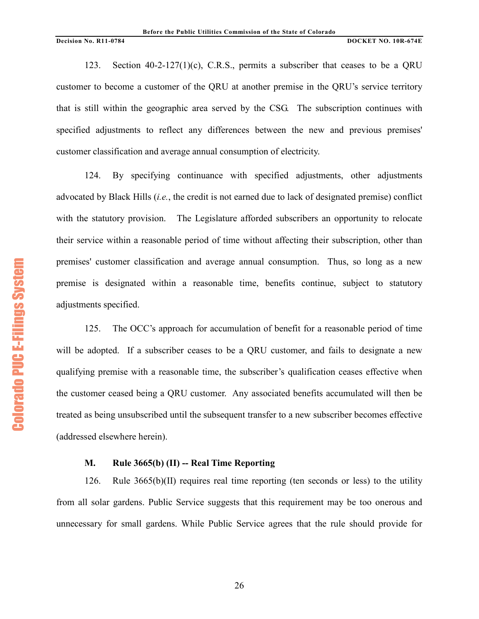123. Section 40-2-127(1)(c), C.R.S., permits a subscriber that ceases to be a QRU customer to become a customer of the QRU at another premise in the QRU's service territory that is still within the geographic area served by the CSG. The subscription continues with specified adjustments to reflect any differences between the new and previous premises' customer classification and average annual consumption of electricity.

124. By specifying continuance with specified adjustments, other adjustments advocated by Black Hills (*i.e.*, the credit is not earned due to lack of designated premise) conflict with the statutory provision. The Legislature afforded subscribers an opportunity to relocate their service within a reasonable period of time without affecting their subscription, other than premises' customer classification and average annual consumption. Thus, so long as a new premise is designated within a reasonable time, benefits continue, subject to statutory adjustments specified.

125. The OCC's approach for accumulation of benefit for a reasonable period of time will be adopted. If a subscriber ceases to be a QRU customer, and fails to designate a new qualifying premise with a reasonable time, the subscriber's qualification ceases effective when the customer ceased being a QRU customer. Any associated benefits accumulated will then be treated as being unsubscribed until the subsequent transfer to a new subscriber becomes effective (addressed elsewhere herein).

## **M. Rule 3665(b) (II) -- Real Time Reporting**

126. Rule  $3665(b)(II)$  requires real time reporting (ten seconds or less) to the utility from all solar gardens. Public Service suggests that this requirement may be too onerous and unnecessary for small gardens. While Public Service agrees that the rule should provide for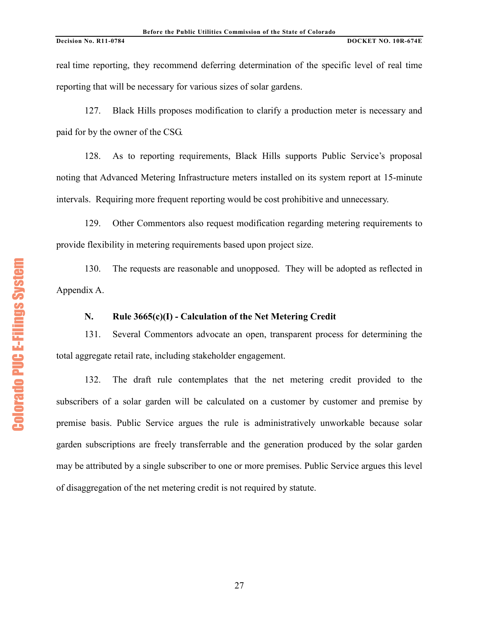real time reporting, they recommend deferring determination of the specific level of real time reporting that will be necessary for various sizes of solar gardens.

127. Black Hills proposes modification to clarify a production meter is necessary and paid for by the owner of the CSG.

128. As to reporting requirements, Black Hills supports Public Service's proposal noting that Advanced Metering Infrastructure meters installed on its system report at 15-minute intervals. Requiring more frequent reporting would be cost prohibitive and unnecessary.

129. Other Commentors also request modification regarding metering requirements to provide flexibility in metering requirements based upon project size.

130. The requests are reasonable and unopposed. They will be adopted as reflected in Appendix A.

# **N. Rule 3665(c)(I) - Calculation of the Net Metering Credit**

131. Several Commentors advocate an open, transparent process for determining the total aggregate retail rate, including stakeholder engagement.

132. The draft rule contemplates that the net metering credit provided to the subscribers of a solar garden will be calculated on a customer by customer and premise by premise basis. Public Service argues the rule is administratively unworkable because solar garden subscriptions are freely transferrable and the generation produced by the solar garden may be attributed by a single subscriber to one or more premises. Public Service argues this level of disaggregation of the net metering credit is not required by statute.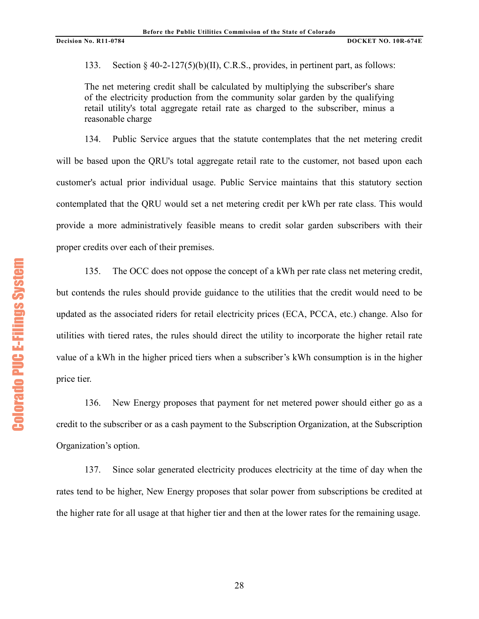133. Section § 40-2-127(5)(b)(II), C.R.S., provides, in pertinent part, as follows:

The net metering credit shall be calculated by multiplying the subscriber's share of the electricity production from the community solar garden by the qualifying retail utility's total aggregate retail rate as charged to the subscriber, minus a reasonable charge

134. Public Service argues that the statute contemplates that the net metering credit will be based upon the QRU's total aggregate retail rate to the customer, not based upon each customer's actual prior individual usage. Public Service maintains that this statutory section contemplated that the QRU would set a net metering credit per kWh per rate class. This would provide a more administratively feasible means to credit solar garden subscribers with their proper credits over each of their premises.

135. The OCC does not oppose the concept of a kWh per rate class net metering credit, but contends the rules should provide guidance to the utilities that the credit would need to be updated as the associated riders for retail electricity prices (ECA, PCCA, etc.) change. Also for utilities with tiered rates, the rules should direct the utility to incorporate the higher retail rate value of a kWh in the higher priced tiers when a subscriber's kWh consumption is in the higher price tier.

136. New Energy proposes that payment for net metered power should either go as a credit to the subscriber or as a cash payment to the Subscription Organization, at the Subscription Organization's option.

137. Since solar generated electricity produces electricity at the time of day when the rates tend to be higher, New Energy proposes that solar power from subscriptions be credited at the higher rate for all usage at that higher tier and then at the lower rates for the remaining usage.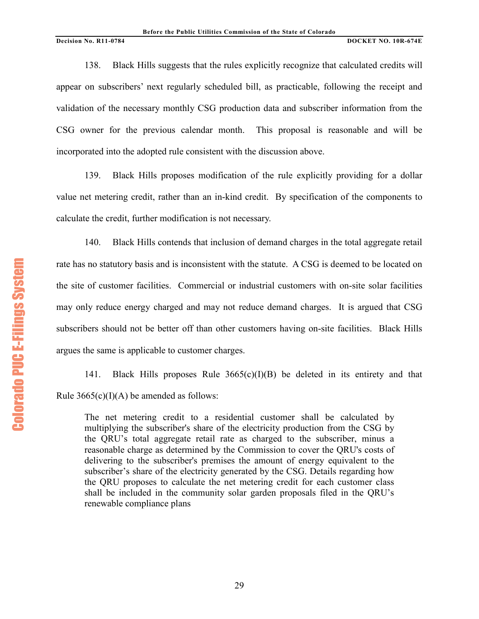138. Black Hills suggests that the rules explicitly recognize that calculated credits will appear on subscribers' next regularly scheduled bill, as practicable, following the receipt and validation of the necessary monthly CSG production data and subscriber information from the CSG owner for the previous calendar month. This proposal is reasonable and will be incorporated into the adopted rule consistent with the discussion above.

139. Black Hills proposes modification of the rule explicitly providing for a dollar value net metering credit, rather than an in-kind credit. By specification of the components to calculate the credit, further modification is not necessary.

140. Black Hills contends that inclusion of demand charges in the total aggregate retail rate has no statutory basis and is inconsistent with the statute. A CSG is deemed to be located on the site of customer facilities. Commercial or industrial customers with on-site solar facilities may only reduce energy charged and may not reduce demand charges. It is argued that CSG subscribers should not be better off than other customers having on-site facilities. Black Hills argues the same is applicable to customer charges.

141. Black Hills proposes Rule 3665(c)(I)(B) be deleted in its entirety and that Rule  $3665(c)(I)(A)$  be amended as follows:

The net metering credit to a residential customer shall be calculated by multiplying the subscriber's share of the electricity production from the CSG by the QRU's total aggregate retail rate as charged to the subscriber, minus a reasonable charge as determined by the Commission to cover the QRU's costs of delivering to the subscriber's premises the amount of energy equivalent to the subscriber's share of the electricity generated by the CSG. Details regarding how the QRU proposes to calculate the net metering credit for each customer class shall be included in the community solar garden proposals filed in the QRU's renewable compliance plans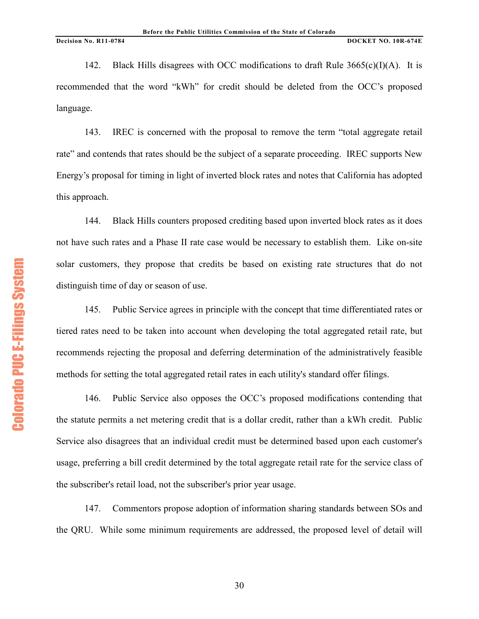142. Black Hills disagrees with OCC modifications to draft Rule  $3665(c)(I)(A)$ . It is recommended that the word "kWh" for credit should be deleted from the OCC's proposed language.

143. IREC is concerned with the proposal to remove the term "total aggregate retail rate" and contends that rates should be the subject of a separate proceeding. IREC supports New Energy's proposal for timing in light of inverted block rates and notes that California has adopted this approach.

144. Black Hills counters proposed crediting based upon inverted block rates as it does not have such rates and a Phase II rate case would be necessary to establish them. Like on-site solar customers, they propose that credits be based on existing rate structures that do not distinguish time of day or season of use.

145. Public Service agrees in principle with the concept that time differentiated rates or tiered rates need to be taken into account when developing the total aggregated retail rate, but recommends rejecting the proposal and deferring determination of the administratively feasible methods for setting the total aggregated retail rates in each utility's standard offer filings.

146. Public Service also opposes the OCC's proposed modifications contending that the statute permits a net metering credit that is a dollar credit, rather than a kWh credit. Public Service also disagrees that an individual credit must be determined based upon each customer's usage, preferring a bill credit determined by the total aggregate retail rate for the service class of the subscriber's retail load, not the subscriber's prior year usage.

147. Commentors propose adoption of information sharing standards between SOs and the QRU. While some minimum requirements are addressed, the proposed level of detail will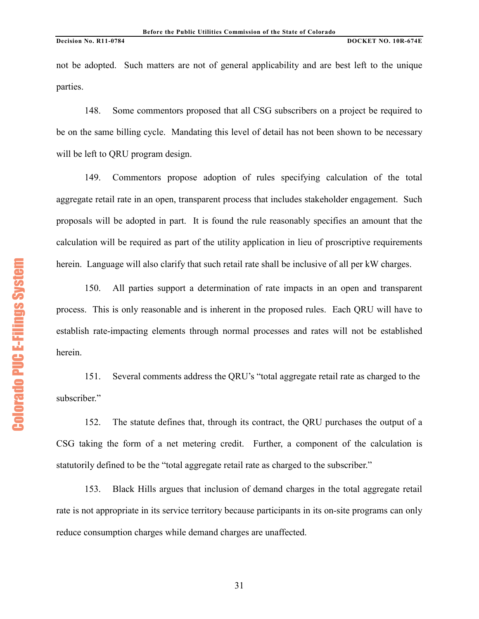not be adopted. Such matters are not of general applicability and are best left to the unique parties.

148. Some commentors proposed that all CSG subscribers on a project be required to be on the same billing cycle. Mandating this level of detail has not been shown to be necessary will be left to QRU program design.

149. Commentors propose adoption of rules specifying calculation of the total aggregate retail rate in an open, transparent process that includes stakeholder engagement. Such proposals will be adopted in part. It is found the rule reasonably specifies an amount that the calculation will be required as part of the utility application in lieu of proscriptive requirements herein. Language will also clarify that such retail rate shall be inclusive of all per kW charges.

150. All parties support a determination of rate impacts in an open and transparent process. This is only reasonable and is inherent in the proposed rules. Each QRU will have to establish rate-impacting elements through normal processes and rates will not be established herein.

151. Several comments address the QRU's "total aggregate retail rate as charged to the subscriber."

152. The statute defines that, through its contract, the QRU purchases the output of a CSG taking the form of a net metering credit. Further, a component of the calculation is statutorily defined to be the "total aggregate retail rate as charged to the subscriber."

153. Black Hills argues that inclusion of demand charges in the total aggregate retail rate is not appropriate in its service territory because participants in its on-site programs can only reduce consumption charges while demand charges are unaffected.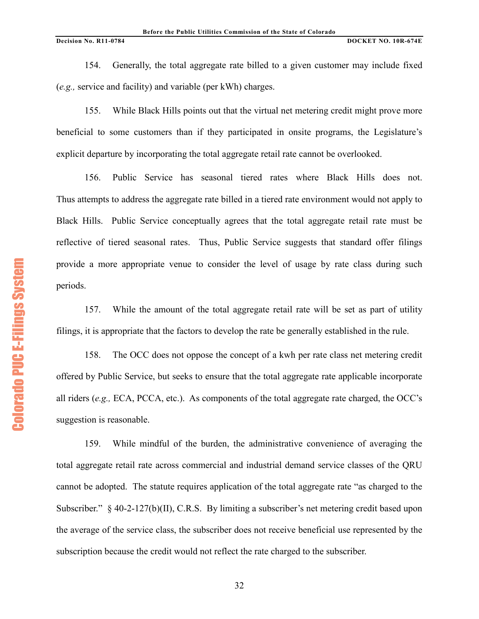154. Generally, the total aggregate rate billed to a given customer may include fixed (*e.g.,* service and facility) and variable (per kWh) charges.

155. While Black Hills points out that the virtual net metering credit might prove more beneficial to some customers than if they participated in onsite programs, the Legislature's explicit departure by incorporating the total aggregate retail rate cannot be overlooked.

156. Public Service has seasonal tiered rates where Black Hills does not. Thus attempts to address the aggregate rate billed in a tiered rate environment would not apply to Black Hills. Public Service conceptually agrees that the total aggregate retail rate must be reflective of tiered seasonal rates. Thus, Public Service suggests that standard offer filings provide a more appropriate venue to consider the level of usage by rate class during such periods.

157. While the amount of the total aggregate retail rate will be set as part of utility filings, it is appropriate that the factors to develop the rate be generally established in the rule.

158. The OCC does not oppose the concept of a kwh per rate class net metering credit offered by Public Service, but seeks to ensure that the total aggregate rate applicable incorporate all riders (*e.g.,* ECA, PCCA, etc.). As components of the total aggregate rate charged, the OCC's suggestion is reasonable.

159. While mindful of the burden, the administrative convenience of averaging the total aggregate retail rate across commercial and industrial demand service classes of the QRU cannot be adopted. The statute requires application of the total aggregate rate "as charged to the Subscriber." § 40-2-127(b)(II), C.R.S. By limiting a subscriber's net metering credit based upon the average of the service class, the subscriber does not receive beneficial use represented by the subscription because the credit would not reflect the rate charged to the subscriber.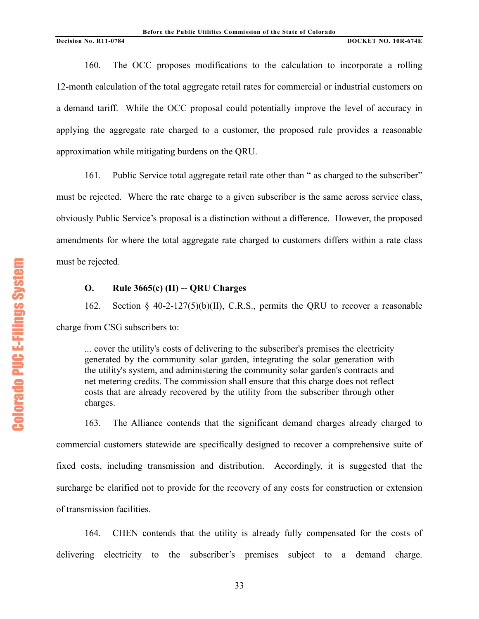160. The OCC proposes modifications to the calculation to incorporate a rolling 12-month calculation of the total aggregate retail rates for commercial or industrial customers on a demand tariff. While the OCC proposal could potentially improve the level of accuracy in applying the aggregate rate charged to a customer, the proposed rule provides a reasonable approximation while mitigating burdens on the QRU.

161. Public Service total aggregate retail rate other than " as charged to the subscriber" must be rejected. Where the rate charge to a given subscriber is the same across service class, obviously Public Service's proposal is a distinction without a difference. However, the proposed amendments for where the total aggregate rate charged to customers differs within a rate class must be rejected.

# **O. Rule 3665(c) (II) -- QRU Charges**

162. Section § 40-2-127(5)(b)(II), C.R.S., permits the QRU to recover a reasonable charge from CSG subscribers to:

... cover the utility's costs of delivering to the subscriber's premises the electricity generated by the community solar garden, integrating the solar generation with the utility's system, and administering the community solar garden's contracts and net metering credits. The commission shall ensure that this charge does not reflect costs that are already recovered by the utility from the subscriber through other charges.

163. The Alliance contends that the significant demand charges already charged to commercial customers statewide are specifically designed to recover a comprehensive suite of fixed costs, including transmission and distribution. Accordingly, it is suggested that the surcharge be clarified not to provide for the recovery of any costs for construction or extension of transmission facilities.

164. CHEN contends that the utility is already fully compensated for the costs of delivering electricity to the subscriber's premises subject to a demand charge.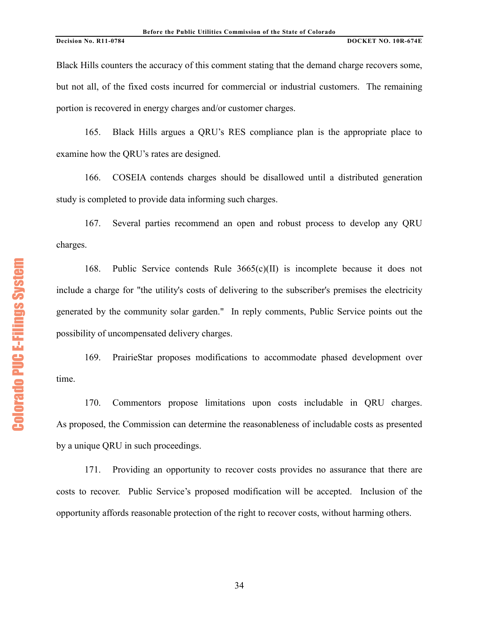Black Hills counters the accuracy of this comment stating that the demand charge recovers some, but not all, of the fixed costs incurred for commercial or industrial customers. The remaining portion is recovered in energy charges and/or customer charges.

165. Black Hills argues a QRU's RES compliance plan is the appropriate place to examine how the QRU's rates are designed.

166. COSEIA contends charges should be disallowed until a distributed generation study is completed to provide data informing such charges.

167. Several parties recommend an open and robust process to develop any QRU charges.

168. Public Service contends Rule 3665(c)(II) is incomplete because it does not include a charge for "the utility's costs of delivering to the subscriber's premises the electricity generated by the community solar garden." In reply comments, Public Service points out the possibility of uncompensated delivery charges.

169. PrairieStar proposes modifications to accommodate phased development over time.

170. Commentors propose limitations upon costs includable in QRU charges. As proposed, the Commission can determine the reasonableness of includable costs as presented by a unique QRU in such proceedings.

171. Providing an opportunity to recover costs provides no assurance that there are costs to recover. Public Service's proposed modification will be accepted. Inclusion of the opportunity affords reasonable protection of the right to recover costs, without harming others.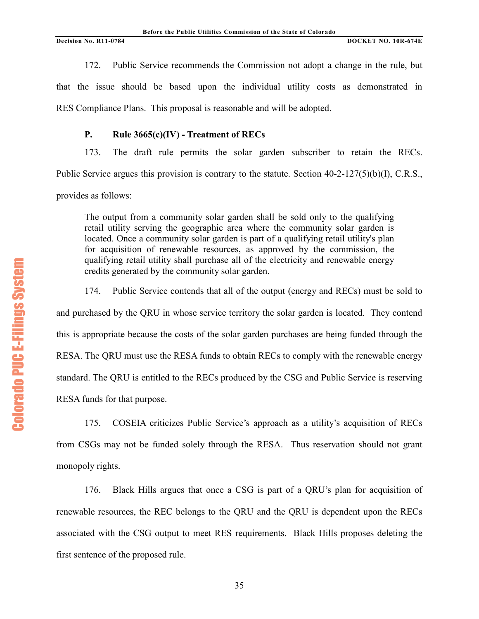172. Public Service recommends the Commission not adopt a change in the rule, but that the issue should be based upon the individual utility costs as demonstrated in RES Compliance Plans. This proposal is reasonable and will be adopted.

# **P. Rule 3665(c)(IV) - Treatment of RECs**

173. The draft rule permits the solar garden subscriber to retain the RECs. Public Service argues this provision is contrary to the statute. Section 40-2-127(5)(b)(I), C.R.S., provides as follows:

The output from a community solar garden shall be sold only to the qualifying retail utility serving the geographic area where the community solar garden is located. Once a community solar garden is part of a qualifying retail utility's plan for acquisition of renewable resources, as approved by the commission, the qualifying retail utility shall purchase all of the electricity and renewable energy credits generated by the community solar garden.

174. Public Service contends that all of the output (energy and RECs) must be sold to and purchased by the QRU in whose service territory the solar garden is located. They contend this is appropriate because the costs of the solar garden purchases are being funded through the RESA. The QRU must use the RESA funds to obtain RECs to comply with the renewable energy standard. The QRU is entitled to the RECs produced by the CSG and Public Service is reserving RESA funds for that purpose.

175. COSEIA criticizes Public Service's approach as a utility's acquisition of RECs from CSGs may not be funded solely through the RESA. Thus reservation should not grant monopoly rights.

176. Black Hills argues that once a CSG is part of a QRU's plan for acquisition of renewable resources, the REC belongs to the QRU and the QRU is dependent upon the RECs associated with the CSG output to meet RES requirements. Black Hills proposes deleting the first sentence of the proposed rule.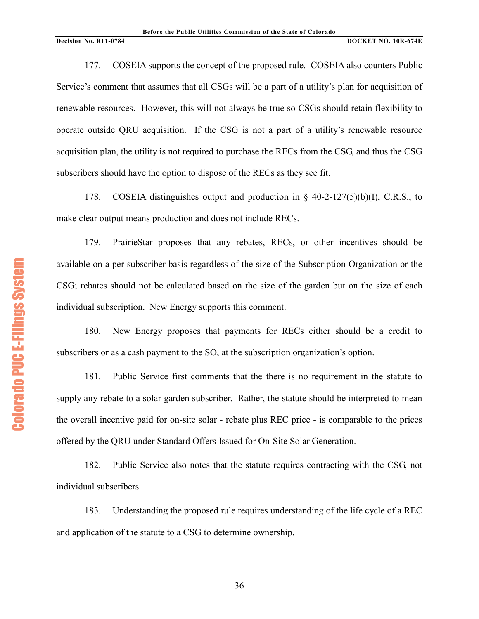177. COSEIA supports the concept of the proposed rule. COSEIA also counters Public Service's comment that assumes that all CSGs will be a part of a utility's plan for acquisition of renewable resources. However, this will not always be true so CSGs should retain flexibility to operate outside QRU acquisition. If the CSG is not a part of a utility's renewable resource acquisition plan, the utility is not required to purchase the RECs from the CSG, and thus the CSG subscribers should have the option to dispose of the RECs as they see fit.

178. COSEIA distinguishes output and production in § 40-2-127(5)(b)(I), C.R.S., to make clear output means production and does not include RECs.

179. PrairieStar proposes that any rebates, RECs, or other incentives should be available on a per subscriber basis regardless of the size of the Subscription Organization or the CSG; rebates should not be calculated based on the size of the garden but on the size of each individual subscription. New Energy supports this comment.

180. New Energy proposes that payments for RECs either should be a credit to subscribers or as a cash payment to the SO, at the subscription organization's option.

181. Public Service first comments that the there is no requirement in the statute to supply any rebate to a solar garden subscriber. Rather, the statute should be interpreted to mean the overall incentive paid for on-site solar - rebate plus REC price - is comparable to the prices offered by the QRU under Standard Offers Issued for On-Site Solar Generation.

182. Public Service also notes that the statute requires contracting with the CSG, not individual subscribers.

183. Understanding the proposed rule requires understanding of the life cycle of a REC and application of the statute to a CSG to determine ownership.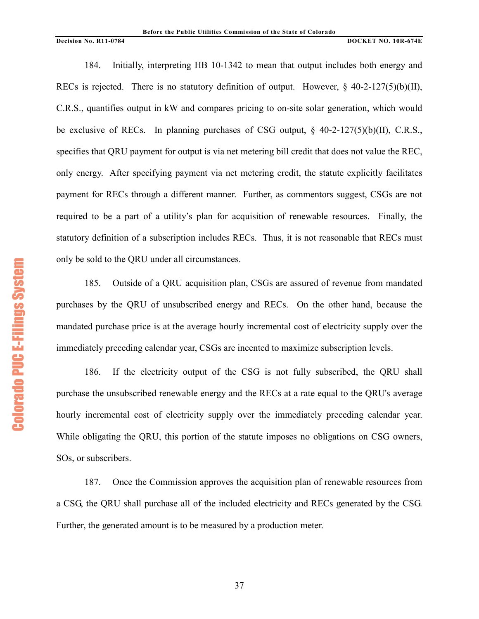184. Initially, interpreting HB 10-1342 to mean that output includes both energy and RECs is rejected. There is no statutory definition of output. However,  $\frac{6}{7}$  40-2-127(5)(b)(II), C.R.S., quantifies output in kW and compares pricing to on-site solar generation, which would be exclusive of RECs. In planning purchases of CSG output,  $\frac{8}{40}$ -2-127(5)(b)(II), C.R.S., specifies that QRU payment for output is via net metering bill credit that does not value the REC, only energy. After specifying payment via net metering credit, the statute explicitly facilitates payment for RECs through a different manner. Further, as commentors suggest, CSGs are not required to be a part of a utility's plan for acquisition of renewable resources. Finally, the statutory definition of a subscription includes RECs. Thus, it is not reasonable that RECs must only be sold to the QRU under all circumstances.

185. Outside of a QRU acquisition plan, CSGs are assured of revenue from mandated purchases by the QRU of unsubscribed energy and RECs. On the other hand, because the mandated purchase price is at the average hourly incremental cost of electricity supply over the immediately preceding calendar year, CSGs are incented to maximize subscription levels.

186. If the electricity output of the CSG is not fully subscribed, the QRU shall purchase the unsubscribed renewable energy and the RECs at a rate equal to the QRU's average hourly incremental cost of electricity supply over the immediately preceding calendar year. While obligating the QRU, this portion of the statute imposes no obligations on CSG owners, SOs, or subscribers.

187. Once the Commission approves the acquisition plan of renewable resources from a CSG, the QRU shall purchase all of the included electricity and RECs generated by the CSG. Further, the generated amount is to be measured by a production meter.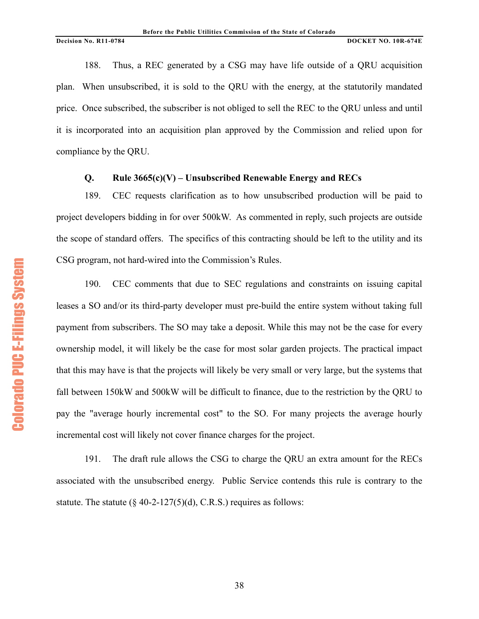188. Thus, a REC generated by a CSG may have life outside of a QRU acquisition plan. When unsubscribed, it is sold to the QRU with the energy, at the statutorily mandated price. Once subscribed, the subscriber is not obliged to sell the REC to the QRU unless and until it is incorporated into an acquisition plan approved by the Commission and relied upon for compliance by the QRU.

# **Q. Rule 3665(c)(V) – Unsubscribed Renewable Energy and RECs**

189. CEC requests clarification as to how unsubscribed production will be paid to project developers bidding in for over 500kW. As commented in reply, such projects are outside the scope of standard offers. The specifics of this contracting should be left to the utility and its CSG program, not hard-wired into the Commission's Rules.

190. CEC comments that due to SEC regulations and constraints on issuing capital leases a SO and/or its third-party developer must pre-build the entire system without taking full payment from subscribers. The SO may take a deposit. While this may not be the case for every ownership model, it will likely be the case for most solar garden projects. The practical impact that this may have is that the projects will likely be very small or very large, but the systems that fall between 150kW and 500kW will be difficult to finance, due to the restriction by the QRU to pay the "average hourly incremental cost" to the SO. For many projects the average hourly incremental cost will likely not cover finance charges for the project.

191. The draft rule allows the CSG to charge the QRU an extra amount for the RECs associated with the unsubscribed energy. Public Service contends this rule is contrary to the statute. The statute  $(\S$  40-2-127(5)(d), C.R.S.) requires as follows: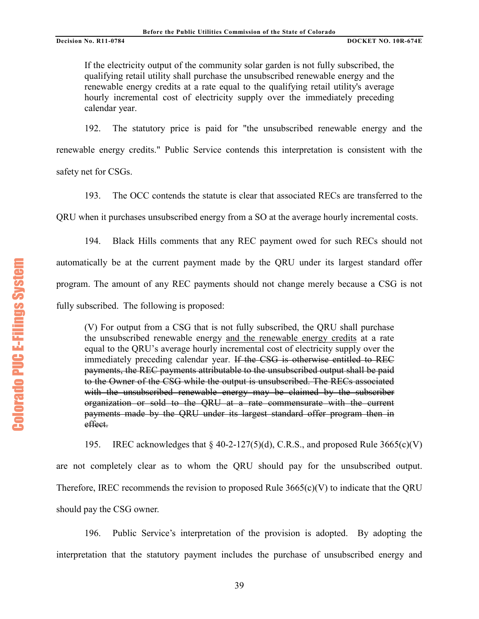If the electricity output of the community solar garden is not fully subscribed, the qualifying retail utility shall purchase the unsubscribed renewable energy and the renewable energy credits at a rate equal to the qualifying retail utility's average hourly incremental cost of electricity supply over the immediately preceding calendar year.

192. The statutory price is paid for "the unsubscribed renewable energy and the renewable energy credits." Public Service contends this interpretation is consistent with the safety net for CSGs.

193. The OCC contends the statute is clear that associated RECs are transferred to the

QRU when it purchases unsubscribed energy from a SO at the average hourly incremental costs.

194. Black Hills comments that any REC payment owed for such RECs should not automatically be at the current payment made by the QRU under its largest standard offer program. The amount of any REC payments should not change merely because a CSG is not fully subscribed. The following is proposed:

(V) For output from a CSG that is not fully subscribed, the QRU shall purchase the unsubscribed renewable energy and the renewable energy credits at a rate equal to the QRU's average hourly incremental cost of electricity supply over the immediately preceding calendar year. If the CSG is otherwise entitled to REC payments, the REC payments attributable to the unsubscribed output shall be paid to the Owner of the CSG while the output is unsubscribed. The RECs associated with the unsubscribed renewable energy may be claimed by the subscriber organization or sold to the QRU at a rate commensurate with the current payments made by the QRU under its largest standard offer program then in effect.

195. IREC acknowledges that  $\S$  40-2-127(5)(d), C.R.S., and proposed Rule 3665(c)(V) are not completely clear as to whom the QRU should pay for the unsubscribed output. Therefore, IREC recommends the revision to proposed Rule  $3665(c)(V)$  to indicate that the QRU should pay the CSG owner.

196. Public Service's interpretation of the provision is adopted. By adopting the interpretation that the statutory payment includes the purchase of unsubscribed energy and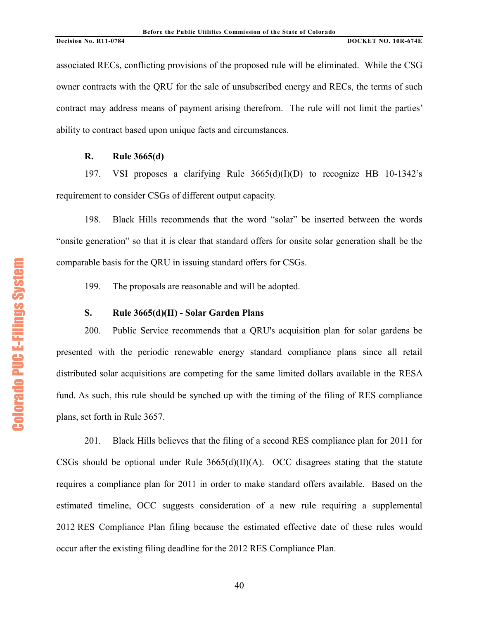associated RECs, conflicting provisions of the proposed rule will be eliminated. While the CSG owner contracts with the QRU for the sale of unsubscribed energy and RECs, the terms of such contract may address means of payment arising therefrom. The rule will not limit the parties' ability to contract based upon unique facts and circumstances.

# **R. Rule 3665(d)**

197. VSI proposes a clarifying Rule 3665(d)(I)(D) to recognize HB 10-1342's requirement to consider CSGs of different output capacity.

198. Black Hills recommends that the word "solar" be inserted between the words "onsite generation" so that it is clear that standard offers for onsite solar generation shall be the comparable basis for the QRU in issuing standard offers for CSGs.

199. The proposals are reasonable and will be adopted.

# **S. Rule 3665(d)(II) - Solar Garden Plans**

200. Public Service recommends that a QRU's acquisition plan for solar gardens be presented with the periodic renewable energy standard compliance plans since all retail distributed solar acquisitions are competing for the same limited dollars available in the RESA fund. As such, this rule should be synched up with the timing of the filing of RES compliance plans, set forth in Rule 3657.

201. Black Hills believes that the filing of a second RES compliance plan for 2011 for CSGs should be optional under Rule  $3665(d)(II)(A)$ . OCC disagrees stating that the statute requires a compliance plan for 2011 in order to make standard offers available. Based on the estimated timeline, OCC suggests consideration of a new rule requiring a supplemental 2012 RES Compliance Plan filing because the estimated effective date of these rules would occur after the existing filing deadline for the 2012 RES Compliance Plan.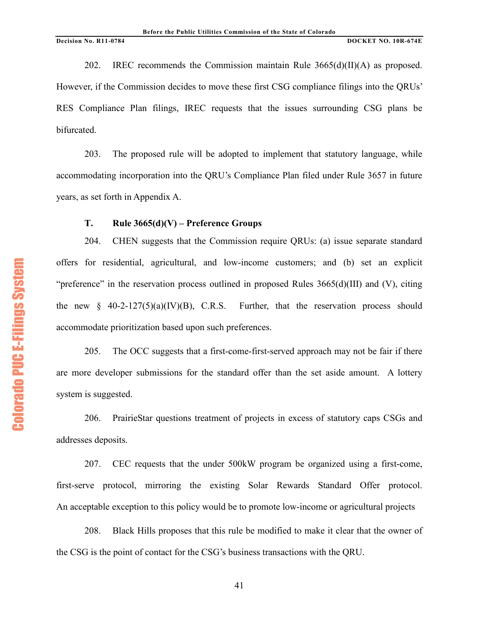202. IREC recommends the Commission maintain Rule  $3665(d)(II)(A)$  as proposed. However, if the Commission decides to move these first CSG compliance filings into the QRUs' RES Compliance Plan filings, IREC requests that the issues surrounding CSG plans be bifurcated.

203. The proposed rule will be adopted to implement that statutory language, while accommodating incorporation into the QRU's Compliance Plan filed under Rule 3657 in future years, as set forth in Appendix A.

# **T. Rule 3665(d)(V) – Preference Groups**

204. CHEN suggests that the Commission require QRUs: (a) issue separate standard offers for residential, agricultural, and low-income customers; and (b) set an explicit "preference" in the reservation process outlined in proposed Rules 3665(d)(III) and (V), citing the new  $\S$  40-2-127(5)(a)(IV)(B), C.R.S. Further, that the reservation process should accommodate prioritization based upon such preferences.

205. The OCC suggests that a first-come-first-served approach may not be fair if there are more developer submissions for the standard offer than the set aside amount. A lottery system is suggested.

206. PrairieStar questions treatment of projects in excess of statutory caps CSGs and addresses deposits.

207. CEC requests that the under 500kW program be organized using a first-come, first-serve protocol, mirroring the existing Solar Rewards Standard Offer protocol. An acceptable exception to this policy would be to promote low-income or agricultural projects

208. Black Hills proposes that this rule be modified to make it clear that the owner of the CSG is the point of contact for the CSG's business transactions with the QRU.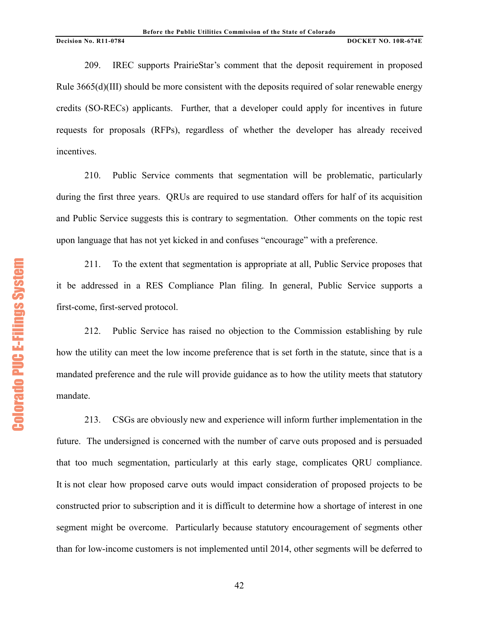209. IREC supports PrairieStar's comment that the deposit requirement in proposed Rule 3665(d)(III) should be more consistent with the deposits required of solar renewable energy credits (SO-RECs) applicants. Further, that a developer could apply for incentives in future requests for proposals (RFPs), regardless of whether the developer has already received incentives.

210. Public Service comments that segmentation will be problematic, particularly during the first three years. QRUs are required to use standard offers for half of its acquisition and Public Service suggests this is contrary to segmentation. Other comments on the topic rest upon language that has not yet kicked in and confuses "encourage" with a preference.

211. To the extent that segmentation is appropriate at all, Public Service proposes that it be addressed in a RES Compliance Plan filing. In general, Public Service supports a first-come, first-served protocol.

212. Public Service has raised no objection to the Commission establishing by rule how the utility can meet the low income preference that is set forth in the statute, since that is a mandated preference and the rule will provide guidance as to how the utility meets that statutory mandate.

213. CSGs are obviously new and experience will inform further implementation in the future. The undersigned is concerned with the number of carve outs proposed and is persuaded that too much segmentation, particularly at this early stage, complicates QRU compliance. It is not clear how proposed carve outs would impact consideration of proposed projects to be constructed prior to subscription and it is difficult to determine how a shortage of interest in one segment might be overcome. Particularly because statutory encouragement of segments other than for low-income customers is not implemented until 2014, other segments will be deferred to

**Colorado PUC E-Filings System** Colorado PUC E+Filings System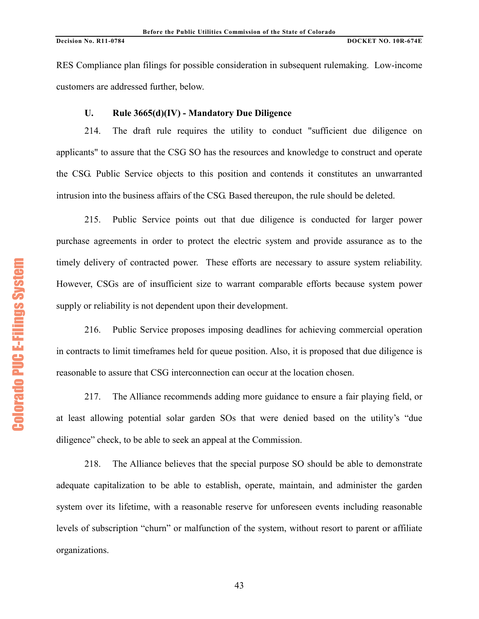RES Compliance plan filings for possible consideration in subsequent rulemaking. Low-income customers are addressed further, below.

# **U. Rule 3665(d)(IV) - Mandatory Due Diligence**

214. The draft rule requires the utility to conduct "sufficient due diligence on applicants" to assure that the CSG SO has the resources and knowledge to construct and operate the CSG. Public Service objects to this position and contends it constitutes an unwarranted intrusion into the business affairs of the CSG. Based thereupon, the rule should be deleted.

215. Public Service points out that due diligence is conducted for larger power purchase agreements in order to protect the electric system and provide assurance as to the timely delivery of contracted power. These efforts are necessary to assure system reliability. However, CSGs are of insufficient size to warrant comparable efforts because system power supply or reliability is not dependent upon their development.

216. Public Service proposes imposing deadlines for achieving commercial operation in contracts to limit timeframes held for queue position. Also, it is proposed that due diligence is reasonable to assure that CSG interconnection can occur at the location chosen.

217. The Alliance recommends adding more guidance to ensure a fair playing field, or at least allowing potential solar garden SOs that were denied based on the utility's "due diligence" check, to be able to seek an appeal at the Commission.

218. The Alliance believes that the special purpose SO should be able to demonstrate adequate capitalization to be able to establish, operate, maintain, and administer the garden system over its lifetime, with a reasonable reserve for unforeseen events including reasonable levels of subscription "churn" or malfunction of the system, without resort to parent or affiliate organizations.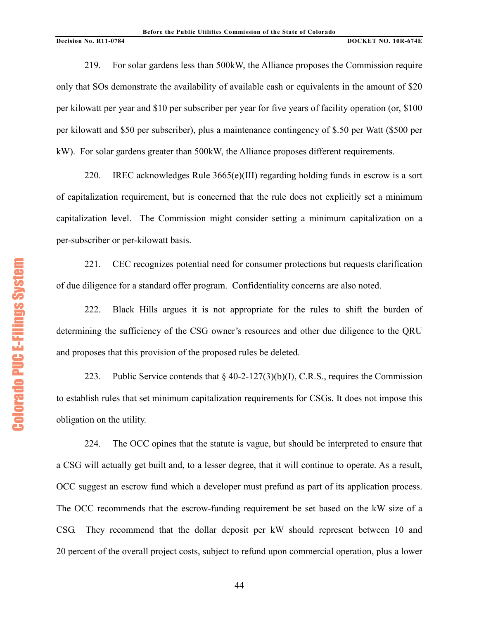219. For solar gardens less than 500kW, the Alliance proposes the Commission require only that SOs demonstrate the availability of available cash or equivalents in the amount of \$20 per kilowatt per year and \$10 per subscriber per year for five years of facility operation (or, \$100 per kilowatt and \$50 per subscriber), plus a maintenance contingency of \$.50 per Watt (\$500 per kW). For solar gardens greater than 500kW, the Alliance proposes different requirements.

220. IREC acknowledges Rule 3665(e)(III) regarding holding funds in escrow is a sort of capitalization requirement, but is concerned that the rule does not explicitly set a minimum capitalization level. The Commission might consider setting a minimum capitalization on a per-subscriber or per-kilowatt basis.

221. CEC recognizes potential need for consumer protections but requests clarification of due diligence for a standard offer program. Confidentiality concerns are also noted.

222. Black Hills argues it is not appropriate for the rules to shift the burden of determining the sufficiency of the CSG owner's resources and other due diligence to the QRU and proposes that this provision of the proposed rules be deleted.

223. Public Service contends that  $\S$  40-2-127(3)(b)(I), C.R.S., requires the Commission to establish rules that set minimum capitalization requirements for CSGs. It does not impose this obligation on the utility.

224. The OCC opines that the statute is vague, but should be interpreted to ensure that a CSG will actually get built and, to a lesser degree, that it will continue to operate. As a result, OCC suggest an escrow fund which a developer must prefund as part of its application process. The OCC recommends that the escrow-funding requirement be set based on the kW size of a CSG. They recommend that the dollar deposit per kW should represent between 10 and 20 percent of the overall project costs, subject to refund upon commercial operation, plus a lower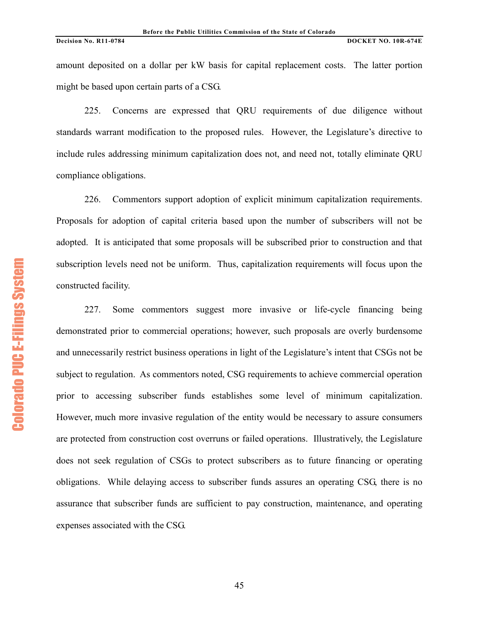amount deposited on a dollar per kW basis for capital replacement costs. The latter portion might be based upon certain parts of a CSG.

225. Concerns are expressed that QRU requirements of due diligence without standards warrant modification to the proposed rules. However, the Legislature's directive to include rules addressing minimum capitalization does not, and need not, totally eliminate QRU compliance obligations.

226. Commentors support adoption of explicit minimum capitalization requirements. Proposals for adoption of capital criteria based upon the number of subscribers will not be adopted. It is anticipated that some proposals will be subscribed prior to construction and that subscription levels need not be uniform. Thus, capitalization requirements will focus upon the constructed facility.

227. Some commentors suggest more invasive or life-cycle financing being demonstrated prior to commercial operations; however, such proposals are overly burdensome and unnecessarily restrict business operations in light of the Legislature's intent that CSGs not be subject to regulation. As commentors noted, CSG requirements to achieve commercial operation prior to accessing subscriber funds establishes some level of minimum capitalization. However, much more invasive regulation of the entity would be necessary to assure consumers are protected from construction cost overruns or failed operations. Illustratively, the Legislature does not seek regulation of CSGs to protect subscribers as to future financing or operating obligations. While delaying access to subscriber funds assures an operating CSG, there is no assurance that subscriber funds are sufficient to pay construction, maintenance, and operating expenses associated with the CSG.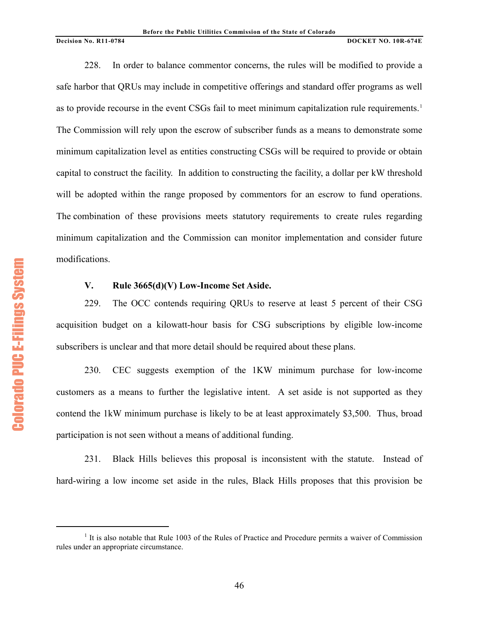228. In order to balance commentor concerns, the rules will be modified to provide a safe harbor that QRUs may include in competitive offerings and standard offer programs as well as to provide recourse in the event CSGs fail to meet minimum capitalization rule requirements.<sup>[1](#page-45-0)</sup> The Commission will rely upon the escrow of subscriber funds as a means to demonstrate some minimum capitalization level as entities constructing CSGs will be required to provide or obtain capital to construct the facility. In addition to constructing the facility, a dollar per kW threshold will be adopted within the range proposed by commentors for an escrow to fund operations. The combination of these provisions meets statutory requirements to create rules regarding minimum capitalization and the Commission can monitor implementation and consider future modifications.

# **V. Rule 3665(d)(V) Low-Income Set Aside.**

229. The OCC contends requiring QRUs to reserve at least 5 percent of their CSG acquisition budget on a kilowatt-hour basis for CSG subscriptions by eligible low-income subscribers is unclear and that more detail should be required about these plans.

230. CEC suggests exemption of the 1KW minimum purchase for low-income customers as a means to further the legislative intent. A set aside is not supported as they contend the 1kW minimum purchase is likely to be at least approximately \$3,500. Thus, broad participation is not seen without a means of additional funding.

231. Black Hills believes this proposal is inconsistent with the statute. Instead of hard-wiring a low income set aside in the rules, Black Hills proposes that this provision be

<span id="page-45-0"></span><sup>&</sup>lt;sup>1</sup> It is also notable that Rule 1003 of the Rules of Practice and Procedure permits a waiver of Commission rules under an appropriate circumstance.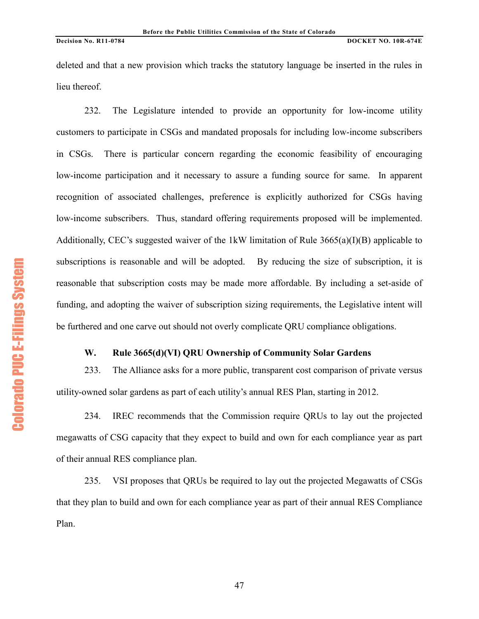deleted and that a new provision which tracks the statutory language be inserted in the rules in lieu thereof.

232. The Legislature intended to provide an opportunity for low-income utility customers to participate in CSGs and mandated proposals for including low-income subscribers in CSGs. There is particular concern regarding the economic feasibility of encouraging low-income participation and it necessary to assure a funding source for same. In apparent recognition of associated challenges, preference is explicitly authorized for CSGs having low-income subscribers. Thus, standard offering requirements proposed will be implemented. Additionally, CEC's suggested waiver of the 1kW limitation of Rule 3665(a)(I)(B) applicable to subscriptions is reasonable and will be adopted. By reducing the size of subscription, it is reasonable that subscription costs may be made more affordable. By including a set-aside of funding, and adopting the waiver of subscription sizing requirements, the Legislative intent will be furthered and one carve out should not overly complicate QRU compliance obligations.

# **W. Rule 3665(d)(VI) QRU Ownership of Community Solar Gardens**

233. The Alliance asks for a more public, transparent cost comparison of private versus utility-owned solar gardens as part of each utility's annual RES Plan, starting in 2012.

234. IREC recommends that the Commission require QRUs to lay out the projected megawatts of CSG capacity that they expect to build and own for each compliance year as part of their annual RES compliance plan.

235. VSI proposes that QRUs be required to lay out the projected Megawatts of CSGs that they plan to build and own for each compliance year as part of their annual RES Compliance Plan.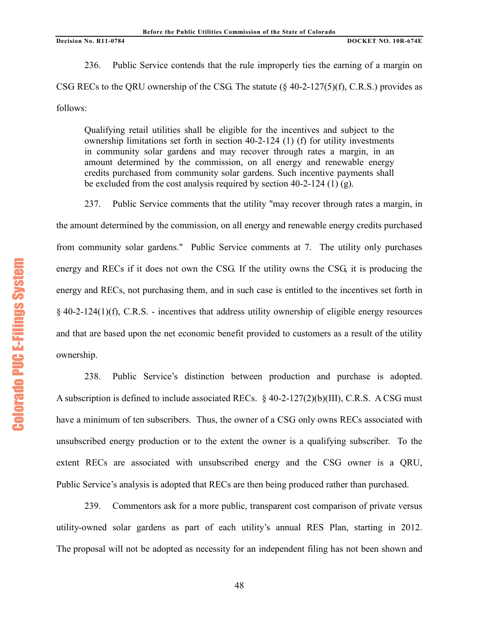236. Public Service contends that the rule improperly ties the earning of a margin on CSG RECs to the QRU ownership of the CSG. The statute  $(\S$  40-2-127(5)(f), C.R.S.) provides as follows:

Qualifying retail utilities shall be eligible for the incentives and subject to the ownership limitations set forth in section 40-2-124 (1) (f) for utility investments in community solar gardens and may recover through rates a margin, in an amount determined by the commission, on all energy and renewable energy credits purchased from community solar gardens. Such incentive payments shall be excluded from the cost analysis required by section 40-2-124 (1) (g).

237. Public Service comments that the utility "may recover through rates a margin, in the amount determined by the commission, on all energy and renewable energy credits purchased from community solar gardens." Public Service comments at 7. The utility only purchases energy and RECs if it does not own the CSG. If the utility owns the CSG, it is producing the energy and RECs, not purchasing them, and in such case is entitled to the incentives set forth in § 40-2-124(1)(f), C.R.S. - incentives that address utility ownership of eligible energy resources and that are based upon the net economic benefit provided to customers as a result of the utility ownership.

238. Public Service's distinction between production and purchase is adopted. A subscription is defined to include associated RECs. § 40-2-127(2)(b)(III), C.R.S. A CSG must have a minimum of ten subscribers. Thus, the owner of a CSG only owns RECs associated with unsubscribed energy production or to the extent the owner is a qualifying subscriber. To the extent RECs are associated with unsubscribed energy and the CSG owner is a QRU, Public Service's analysis is adopted that RECs are then being produced rather than purchased.

239. Commentors ask for a more public, transparent cost comparison of private versus utility-owned solar gardens as part of each utility's annual RES Plan, starting in 2012. The proposal will not be adopted as necessity for an independent filing has not been shown and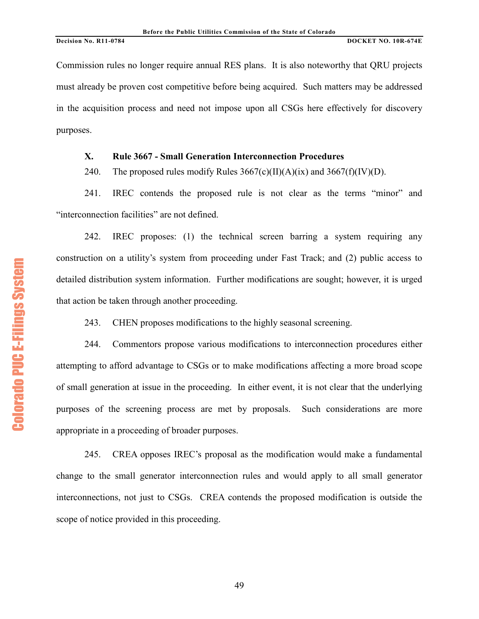Commission rules no longer require annual RES plans. It is also noteworthy that QRU projects must already be proven cost competitive before being acquired. Such matters may be addressed in the acquisition process and need not impose upon all CSGs here effectively for discovery purposes.

# **X. Rule 3667 - Small Generation Interconnection Procedures**

240. The proposed rules modify Rules  $3667(c)(II)(A)(ix)$  and  $3667(f)(IV)(D)$ .

241. IREC contends the proposed rule is not clear as the terms "minor" and "interconnection facilities" are not defined.

242. IREC proposes: (1) the technical screen barring a system requiring any construction on a utility's system from proceeding under Fast Track; and (2) public access to detailed distribution system information. Further modifications are sought; however, it is urged that action be taken through another proceeding.

243. CHEN proposes modifications to the highly seasonal screening.

244. Commentors propose various modifications to interconnection procedures either attempting to afford advantage to CSGs or to make modifications affecting a more broad scope of small generation at issue in the proceeding. In either event, it is not clear that the underlying purposes of the screening process are met by proposals. Such considerations are more appropriate in a proceeding of broader purposes.

245. CREA opposes IREC's proposal as the modification would make a fundamental change to the small generator interconnection rules and would apply to all small generator interconnections, not just to CSGs. CREA contends the proposed modification is outside the scope of notice provided in this proceeding.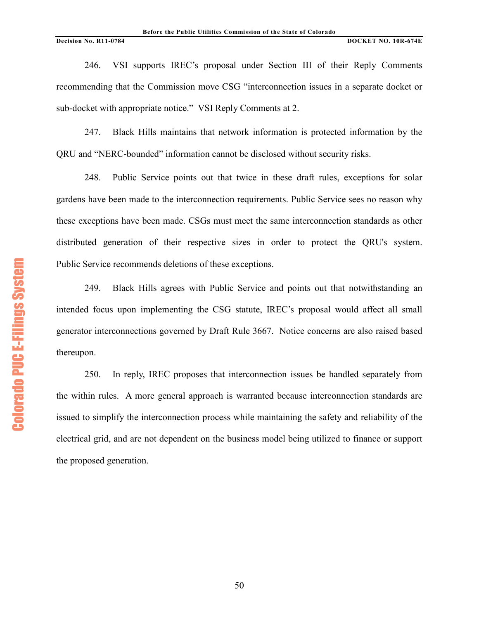246. VSI supports IREC's proposal under Section III of their Reply Comments recommending that the Commission move CSG "interconnection issues in a separate docket or sub-docket with appropriate notice." VSI Reply Comments at 2.

247. Black Hills maintains that network information is protected information by the QRU and "NERC-bounded" information cannot be disclosed without security risks.

248. Public Service points out that twice in these draft rules, exceptions for solar gardens have been made to the interconnection requirements. Public Service sees no reason why these exceptions have been made. CSGs must meet the same interconnection standards as other distributed generation of their respective sizes in order to protect the QRU's system. Public Service recommends deletions of these exceptions.

249. Black Hills agrees with Public Service and points out that notwithstanding an intended focus upon implementing the CSG statute, IREC's proposal would affect all small generator interconnections governed by Draft Rule 3667. Notice concerns are also raised based thereupon.

250. In reply, IREC proposes that interconnection issues be handled separately from the within rules. A more general approach is warranted because interconnection standards are issued to simplify the interconnection process while maintaining the safety and reliability of the electrical grid, and are not dependent on the business model being utilized to finance or support the proposed generation.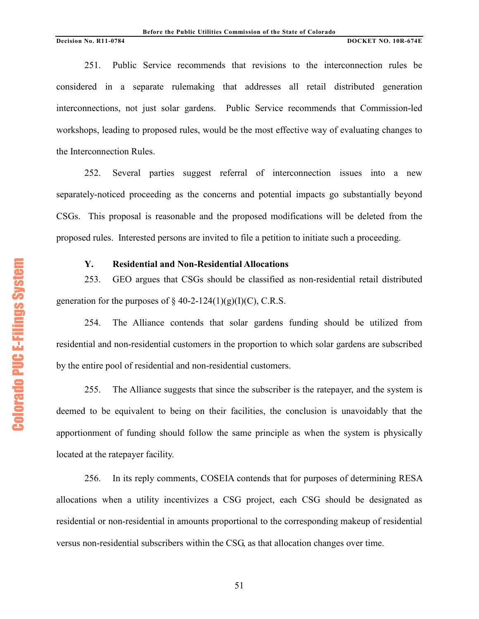251. Public Service recommends that revisions to the interconnection rules be considered in a separate rulemaking that addresses all retail distributed generation interconnections, not just solar gardens. Public Service recommends that Commission-led workshops, leading to proposed rules, would be the most effective way of evaluating changes to the Interconnection Rules.

252. Several parties suggest referral of interconnection issues into a new separately-noticed proceeding as the concerns and potential impacts go substantially beyond CSGs. This proposal is reasonable and the proposed modifications will be deleted from the proposed rules. Interested persons are invited to file a petition to initiate such a proceeding.

# **Y. Residential and Non-Residential Allocations**

253. GEO argues that CSGs should be classified as non-residential retail distributed generation for the purposes of  $\S$  40-2-124(1)(g)(I)(C), C.R.S.

254. The Alliance contends that solar gardens funding should be utilized from residential and non-residential customers in the proportion to which solar gardens are subscribed by the entire pool of residential and non-residential customers.

255. The Alliance suggests that since the subscriber is the ratepayer, and the system is deemed to be equivalent to being on their facilities, the conclusion is unavoidably that the apportionment of funding should follow the same principle as when the system is physically located at the ratepayer facility.

256. In its reply comments, COSEIA contends that for purposes of determining RESA allocations when a utility incentivizes a CSG project, each CSG should be designated as residential or non-residential in amounts proportional to the corresponding makeup of residential versus non-residential subscribers within the CSG, as that allocation changes over time.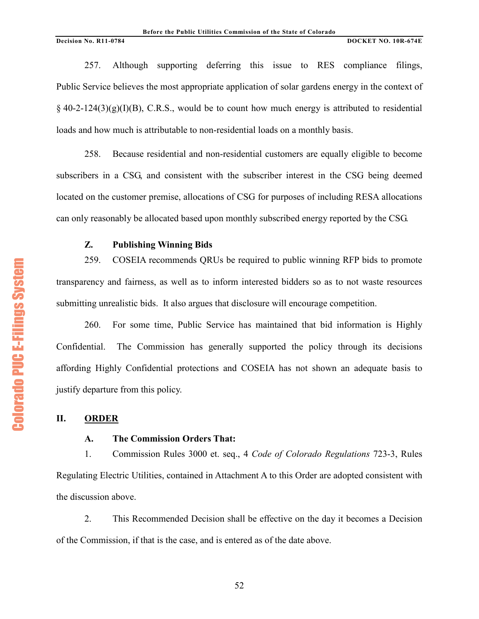257. Although supporting deferring this issue to RES compliance filings, Public Service believes the most appropriate application of solar gardens energy in the context of  $\S$  40-2-124(3)(g)(I)(B), C.R.S., would be to count how much energy is attributed to residential loads and how much is attributable to non-residential loads on a monthly basis.

258. Because residential and non-residential customers are equally eligible to become subscribers in a CSG, and consistent with the subscriber interest in the CSG being deemed located on the customer premise, allocations of CSG for purposes of including RESA allocations can only reasonably be allocated based upon monthly subscribed energy reported by the CSG.

# **Z. Publishing Winning Bids**

259. COSEIA recommends QRUs be required to public winning RFP bids to promote transparency and fairness, as well as to inform interested bidders so as to not waste resources submitting unrealistic bids. It also argues that disclosure will encourage competition.

260. For some time, Public Service has maintained that bid information is Highly Confidential. The Commission has generally supported the policy through its decisions affording Highly Confidential protections and COSEIA has not shown an adequate basis to justify departure from this policy.

# **II. ORDER**

## **A. The Commission Orders That:**

1. Commission Rules 3000 et. seq., 4 *Code of Colorado Regulations* 723-3, Rules Regulating Electric Utilities, contained in Attachment A to this Order are adopted consistent with the discussion above.

2. This Recommended Decision shall be effective on the day it becomes a Decision of the Commission, if that is the case, and is entered as of the date above.

**Colorado PUC E-Filings System** Colorado PUC E+Filings System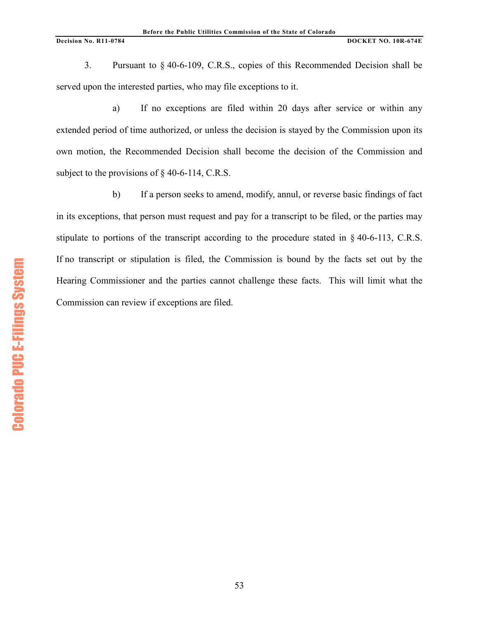3. Pursuant to § 40-6-109, C.R.S., copies of this Recommended Decision shall be served upon the interested parties, who may file exceptions to it.

a) If no exceptions are filed within 20 days after service or within any extended period of time authorized, or unless the decision is stayed by the Commission upon its own motion, the Recommended Decision shall become the decision of the Commission and subject to the provisions of § 40-6-114, C.R.S.

b) If a person seeks to amend, modify, annul, or reverse basic findings of fact in its exceptions, that person must request and pay for a transcript to be filed, or the parties may stipulate to portions of the transcript according to the procedure stated in § 40-6-113, C.R.S. If no transcript or stipulation is filed, the Commission is bound by the facts set out by the Hearing Commissioner and the parties cannot challenge these facts. This will limit what the Commission can review if exceptions are filed.